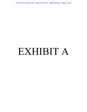Case 3:18-cv-02279-RS Document 181-1 Filed 01/25/19 Page 1 of 25

# EXHIBIT A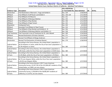#### *San Jose et al. v. Ross et al.* **- Case No. 3:18-cv-02279-RS** Case 3:18-cv-02279-RS Document 181-1 Filed 01/25/19 Page 2 of 25

|                        |                                                                      | 18-cv-02279 Doc.                   |           |           |        |
|------------------------|----------------------------------------------------------------------|------------------------------------|-----------|-----------|--------|
| <b>Evidence Type</b>   | <b>Description</b>                                                   | or Trial Exhibit No. Date Admitted |           | <b>AR</b> | AR No. |
| Declaration            | Trial Declaration of Bernard L. Fraga and Exhibit A                  | Doc. 129                           | 1/10/2019 |           |        |
| Affidavit              | Trial Affidavit of Jeff Ruster and Exhibit A                         | Doc. 130; 134                      | 1/11/2019 |           |        |
| Affidavit              | Trial Affidavit of Jill Bourne                                       | Doc. 131                           | 1/11/2019 |           |        |
| Affidavit              | Trial Affidavit of Monique Melchor                                   | Doc. 135                           | 1/11/2019 |           |        |
| Affidavit              | Trial Affidavit of Ray Riordan                                       | Doc. 136                           | 1/11/2019 |           |        |
| Affidavit              | Trial Affidavit of Opal Tometi                                       | Doc. 142                           | 1/11/2019 |           |        |
| Stipulation            | <b>Undisputed Facts</b>                                              | Doc. 144                           | 1/2/2019  |           |        |
| Affidavit              | Amended Trial Affidavit of Opal Tometi                               | Doc. 154                           | 1/11/2019 |           |        |
| Affidavit              | Trial Affidavit of Ray Riordan and Exhibits A - B                    | Doc. 156                           | 1/11/2019 |           |        |
| Affidavit              | Trial Affidavit of Monique Melchor and Exhibits 1-3                  | Doc. 158                           | 1/11/2019 |           |        |
| <b>Trial Testimony</b> | Trial Transcript in Lieu of Testimony for Dr. John Abowd             | Doc. 169                           | 1/14/2019 |           |        |
| Affidavit              | <b>Revised Declaration of Kristen Clements</b>                       | Doc. 171                           | 1/11/2019 |           |        |
| Affidavit              | Revised Trial Affidavit of Margo Anderson                            | Doc. 177                           | 1/11/2019 |           |        |
| Declaration            | Revised Trial Declaration of Andrew Reamer                           | Doc. 179                           | 1/18/2019 |           |        |
|                        | According to the Census Bureau, the United States' population is     |                                    |           |           |        |
| <b>Judicial Notice</b> | 18.1% Hispanic or Latino, while the City of San Jose's population is |                                    |           |           |        |
| of Facts               | 32.3% Hispanic or Latino.                                            | Doc. 180                           | 1/17/2019 |           |        |
| <b>Judicial Notice</b> | According to the Census Bureau, the United States' population is     |                                    |           |           |        |
| of Facts               | 5.8% Asian, while the City of San Jose's population is 34.8% Asian.  | Doc. 180                           | 1/17/2019 |           |        |
| <b>Judicial Notice</b> | According to the Census Bureau, the United States' population is     |                                    |           |           |        |
| of Facts               | 13.4% Black, while the City of San Jose's population is 3% Black.    | Doc. 180                           | 1/17/2019 |           |        |
|                        | According to the Census Bureau, the United States' population is     |                                    |           |           |        |
| <b>Judicial Notice</b> | 60.7% non-Hispanic White, while the City of San Jose's population    |                                    |           |           |        |
| of Facts               | is 26.5% non-Hispanic White.                                         | Doc. 180                           | 1/17/2019 |           |        |
|                        | According to the Census Bureau's 2017 5-year American                |                                    |           |           |        |
| <b>Judicial Notice</b> | Community Survey, 22,337,765 of the 321,004,407 residents of the     |                                    |           |           |        |
| of Facts               | United States, or 6.96%, are non-citizens.                           | Doc. 180                           | 1/17/2019 |           |        |
|                        | According to the Census Bureau's 2017 5-year American                |                                    |           |           |        |
| <b>Judicial Notice</b> | Community Survey, 5,250,604 of the 38,982,847 residents of           |                                    |           |           |        |
| of Facts               | California, or 13.47%, are non-citizens.                             | Doc. 180                           | 1/17/2019 |           |        |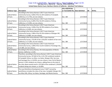## *San Jose et al. v. Ross et al.* **- Case No. 3:18-cv-02279-RS** Case 3:18-cv-02279-RS Document 181-1 Filed 01/25/19 Page 3 of 25

|                        |                                                                      | 18-cv-02279 Doc.                   |           |           |        |
|------------------------|----------------------------------------------------------------------|------------------------------------|-----------|-----------|--------|
| <b>Evidence Type</b>   | <b>Description</b>                                                   | or Trial Exhibit No. Date Admitted |           | <b>AR</b> | AR No. |
|                        | According to the Census Bureau's 2017 5-year American                |                                    |           |           |        |
| <b>Judicial Notice</b> | Community Survey, 4,836 of the 41,164 residents of Campbell,         |                                    |           |           |        |
| of Facts               | California, or 11.75%, are non-citizens.                             | Doc. 180                           | 1/17/2019 |           |        |
|                        | According to the Census Bureau's 2017 5-year American                |                                    |           |           |        |
| <b>Judicial Notice</b> | Community Survey, 8,289 of the 54,159 residents of Gilroy,           |                                    |           |           |        |
| of Facts               | California, or 15.30%, are non-citizens.                             | Doc. 180                           | 1/17/2019 |           |        |
|                        | According to the Census Bureau's 2017 5-year American                |                                    |           |           |        |
| <b>Judicial Notice</b> | Community Survey, 2,038 of the 30,709 residents of Los Gatos,        |                                    |           |           |        |
| of Facts               | California, or 6.64%, are non-citizens.                              | Doc. 180                           | 1/17/2019 |           |        |
|                        | According to the Census Bureau's 2017 5-year American                |                                    |           |           |        |
| <b>Judicial Notice</b> | Community Survey, 2,966 of the 43,136 residents of Morgan Hill,      |                                    |           |           |        |
| of Facts               | California, or 6.88%, are non-citizens.                              | Doc. 180                           | 1/17/2019 |           |        |
|                        | According to the Census Bureau's 2017 5-year American                |                                    |           |           |        |
| <b>Judicial Notice</b> | Community Survey, 176,345 of the 1,023,031 residents of San Jose,    |                                    |           |           |        |
| of Facts               | California, or 17.24%, are non-citizens.                             | Doc. 180                           | 1/17/2019 |           |        |
|                        | According to the Census Bureau's 2017 5-year American                |                                    |           |           |        |
| <b>Judicial Notice</b> | Community Survey, 2,600 of the 31,013 residents of Saratoga City,    |                                    |           |           |        |
| of Facts               | or 8.38%, are non-citizens.                                          | Doc. 180                           | 1/17/2019 |           |        |
| <b>Judicial Notice</b> | According to the Census Bureau, the total population of Monte        |                                    |           |           |        |
| of Facts               | Sereno, California, is 3,341.                                        | Doc. 180                           | 1/17/2019 |           |        |
|                        | Therefore, according to the Census Bureau's 2017 5-year American     |                                    |           |           |        |
|                        | Community Survey, 197,663 of the 1,231,702 combined residents        |                                    |           |           |        |
|                        | of Campbell, Gilroy, Los Altos, Los Gatos, Morgan Hills, San Jose,   |                                    |           |           |        |
|                        | and Saratoga City, or 16.05%, are non-citizens. Even if all of Monte |                                    |           |           |        |
|                        | Sereno's 3,341 residents are citizens, adding these to the total of  |                                    |           |           |        |
| <b>Judicial Notice</b> | the cities above would result in 197,663 of the combined 1,234,043   |                                    |           |           |        |
| of Facts               | residents being non-citizens, or 16.00%.                             | Doc. 180                           | 1/17/2019 |           |        |
|                        | The Local Workforce Development area ("LWD") served by               |                                    |           |           |        |
| <b>Judicial Notice</b> | work2future includes the cities of San Jose, Campbell, Morgan Hill,  |                                    |           |           |        |
| of Facts               | Los Altos Hills, Gilroy, Los Gatos, Saratoga, and Monte Sereno.      | Doc. 180                           | 1/17/2019 |           |        |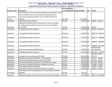## *San Jose et al. v. Ross et al.* **- Case No. 3:18-cv-02279-RS** Case 3:18-cv-02279-RS Document 181-1 Filed 01/25/19 Page 4 of 25

|                        |                                                                        | 18-cv-02279 Doc.                   |               |           |                             |
|------------------------|------------------------------------------------------------------------|------------------------------------|---------------|-----------|-----------------------------|
| <b>Evidence Type</b>   | <b>Description</b>                                                     | or Trial Exhibit No. Date Admitted |               | <b>AR</b> | AR No.                      |
|                        | The City of San Jose is one of 184 "entitlement communities" in the    |                                    |               |           |                             |
|                        | State of California that receives federal funding through the          |                                    |               |           |                             |
| <b>Judicial Notice</b> | Community Development Block Grant ("CDBG") Entitlement                 |                                    |               |           |                             |
| of Facts               | Program.                                                               | Doc. 180                           | 1/17/2019     |           |                             |
| Stipulation            | <b>Initial Administrative Record</b>                                   | <b>PTX 001</b>                     | $1/4/2019$ AR |           | 000001 - 001320             |
|                        | Supplemental Memorandum by Secretary of Commerce Wilbur                |                                    |               |           |                             |
|                        | Ross Regarding the Administrative Record in Census Litigation          |                                    |               |           |                             |
| Stipulation            | (6/21/2018)                                                            | <b>PTX 002</b>                     | 1/4/2019 AR   |           | 001321                      |
| Stipulation            | 1st Supplemental AR Production                                         | <b>PTX 003</b>                     | 1/4/2019 AR   |           | 001322 - 0003735            |
| Stipulation            | 2nd Supplemental AR Production                                         | <b>PTX 004 A</b>                   | 1/4/2019 AR   |           | 0003736 - 0004712           |
| Stipulation            | 2nd Supplemental AR Production                                         | <b>PTX 004 B</b>                   | 1/4/2019 AR   |           | 0004713 - 0006680           |
| Stipulation            | 2nd Supplemental AR Production                                         | <b>PTX 004 C</b>                   | $1/4/2019$ AR |           | 0006681 - 0009055           |
| Stipulation            | 2nd Supplemental AR Production                                         | <b>PTX 004 D</b>                   | $1/4/2019$ AR |           | 0009056 - 0012464           |
| Stipulation            | Disclosure Review Board (DRB) Release                                  | <b>PTX 005</b>                     | $1/4/2019$ AR |           | 0010357DRB -<br>0011004DRB; |
| Stipulation            | 4th Supplemental AR Production                                         | <b>PTX 007</b>                     | 1/4/2019 AR   |           | 0012464 - 0012543           |
| Stipulation            | Privilege Overturns produced 9/17/2018                                 | <b>PTX 008</b>                     | $1/4/2019$ AR |           | 012476; 012755 -<br>012756  |
| Stipulation            | DRB Release produced 9/19/2018 - 2017 ACS Data                         | <b>PTX 009</b>                     | $1/4/2019$ AR |           | 012757 - 012762             |
| Stipulation            | Additional Stakeholder Briefs produced 9/26/2018                       | <b>PTX 010</b>                     | $1/4/2019$ AR |           | 012763 - 012767             |
| Stipulation            | Documents Produced in Response to 5th Motion to Compel                 | PTX 011                            | $1/4/2019$ AR |           | 012768 - 012803             |
| Stipulation            | Documents Produced in Response to Motion to Compel                     | <b>PTX 012</b>                     | $1/4/2019$ AR |           | 012804 - 012826             |
| Stipulation            | 10th Supplemental AR Production                                        | <b>PTX 013</b>                     | $1/4/2019$ AR |           | 012827 - 013022             |
| Stipulation            | Document Produced in Response to Motion to Compel                      | <b>PTX 014</b>                     | $1/4/2019$ AR |           | 013023 - 013024             |
| <b>Trial Exhibit</b>   | 2020 CBAMS Focus Groups Audience Summary Report [0013025 -<br>0013099] | <b>PTX 015</b>                     | 1/9/2019      |           |                             |
| Stipulation            | Additional Supplemental AR Documents Produced by Defendants            | <b>PTX 016</b>                     | $1/4/2019$ AR |           | 0012128 - 0012966           |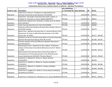## *San Jose et al. v. Ross et al.* **- Case No. 3:18-cv-02279-RS** Case 3:18-cv-02279-RS Document 181-1 Filed 01/25/19 Page 5 of 25

|                      |                                                                              | 18-cv-02279 Doc.                   |               |           |                 |
|----------------------|------------------------------------------------------------------------------|------------------------------------|---------------|-----------|-----------------|
| <b>Evidence Type</b> | <b>Description</b>                                                           | or Trial Exhibit No. Date Admitted |               | <b>AR</b> | AR No.          |
|                      | Letter from A. Gary to J. Thompson re: Legal Authority for                   |                                    |               |           |                 |
| Stipulation          | American Community Survey Questions (11/4/2016)                              | <b>PTX 017</b>                     | $1/4/2019$ AR |           | 000311          |
|                      | Email from I. Hernandez to Secretary Ross and B. Lenihan, cc:                |                                    |               |           |                 |
| Stipulation          | E.Herbst, W. Teramoto re: Census Updates (8/8/2017)                          | <b>PTX 018</b>                     | $1/4/2019$ AR |           | 000317          |
|                      | Email from K. Kobach to W. Teramoto re: Follow up on our phone               |                                    |               |           |                 |
| Stipulation          | call (7/24/2017)                                                             | <b>PTX 019</b>                     | 1/4/2019 AR   |           | 000763          |
| Stipulation          | Letter from Secretary Ross to K. Harris (1/31/2018)                          | <b>PTX 020</b>                     | $1/4/2019$ AR |           | 000782          |
|                      | Summary of Discussion between Secretary Ross and Rep. Pelosi re:             |                                    |               |           |                 |
| Stipulation          | 3/23/2018 meeting                                                            | <b>PTX 021</b>                     | 1/4/2019 AR   |           | 001274          |
|                      | Memo from J. Abowd to Secretary Ross re: Technical Review of the             |                                    |               |           |                 |
|                      | Department of Justice to Add Citizenship Question to the 2020                |                                    |               |           |                 |
| Stipulation          | Census (Jan. 19, 2018)                                                       | <b>PTX 022</b>                     | 1/4/2019 AR   |           | 001277 - 001285 |
|                      | Questions on the Jan 19 Draft Census Memo on the DoJ Citizenship             |                                    |               |           |                 |
| Stipulation          | Question Reinstatement Request (final AR version)                            | <b>PTX 023</b>                     | 1/4/2019 AR   |           | 001286 - 001297 |
|                      | Summary Analysis of the Key Differences Between Alternative C                |                                    |               |           |                 |
| Stipulation          | and Alternative D                                                            | <b>PTX 024</b>                     | $1/4/2019$ AR |           | 001304 - 001307 |
|                      | Memorandum from J. Abowd to W. Ross, Subject: "Preliminary                   |                                    |               |           |                 |
|                      | analysis of Alternative D (Combined Alternatives B and C)" (March            |                                    |               |           |                 |
| Stipulation          | 1, 2018)                                                                     | <b>PTX 025</b>                     | 1/4/2019 AR   |           | 001308 - 001312 |
|                      | Memorandum from Secretary Ross to Karen Dunn Kelley re                       |                                    |               |           |                 |
|                      | Reinstatement of Citizenship Question on the 2020 Decennial                  |                                    |               |           |                 |
| Stipulation          | Census Questionnaire (3/26/18) ("Decision Memo")                             | <b>PTX 026</b>                     | $1/4/2019$ AR |           | 001313 - 001320 |
|                      | Email from A. Willard to R. Jarmin re: Please call Kevin                     |                                    |               |           |                 |
| Stipulation          | (12/15/2017)                                                                 | <b>PTX 027</b>                     | 1/4/2019 AR   |           | 001332          |
|                      | Email from V. Velkoff to A. Willard re: Tuesday availability                 |                                    |               |           |                 |
| Stipulation          | (7/25/2017)                                                                  | <b>PTX 028</b>                     | $1/4/2019$ AR |           | 001393 - 001395 |
|                      | Email from A. Willard to V. Velkoff re: Tuesday availability                 |                                    |               |           |                 |
| Stipulation          | (7/25/2017)                                                                  | <b>PTX 029</b>                     | $1/4/2019$ AR |           | 001404 - 001406 |
|                      | Email from D. Langdon to E. Herbst re: Census Bureau briefing for            |                                    |               |           |                 |
| Stipulation          | OS politicals (2/2/2017)                                                     | <b>PTX 030</b>                     | $1/4/2019$ AR |           | 001410          |
| Stipulation          | Email from E. Comstock to C. Neuhaus et al. re: Census (8/29/2017)   PTX 031 |                                    | $1/4/2019$ AR |           | 001411 - 001412 |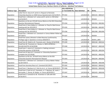## *San Jose et al. v. Ross et al.* **- Case No. 3:18-cv-02279-RS** Case 3:18-cv-02279-RS Document 181-1 Filed 01/25/19 Page 6 of 25

|                      |                                                                    | 18-cv-02279 Doc.                   |               |           |                   |
|----------------------|--------------------------------------------------------------------|------------------------------------|---------------|-----------|-------------------|
| <b>Evidence Type</b> | <b>Description</b>                                                 | or Trial Exhibit No. Date Admitted |               | <b>AR</b> | AR No.            |
|                      | Letter from A. Gary to R. Jarmin re: Request to Reinstate          |                                    |               |           |                   |
| Stipulation          | Citizenship Question on 2020 Census Questionnaire (12/12/2017)     | <b>PTX 032</b>                     | $1/4/2019$ AR |           | 0001525 - 0001527 |
|                      | Email from J. Uthmeier to E. Lamas and R. Jarmin re: DOJ letter    |                                    |               |           |                   |
| Stipulation          | (12/15/2017)                                                       | <b>PTX 033</b>                     | 1/4/2019 AR   |           | 001634            |
|                      | Questions on the Jan 19 Draft Census Memo on the DOJ Citizenship   |                                    |               |           |                   |
| Stipulation          | <b>Question Reinstatement Request</b>                              | <b>PTX 034</b>                     | 1/4/2019 AR   |           | 0001954 - 0001963 |
|                      | Email from K. Dunn Kelley to J. Uthmeier re: Prep for Wed Census   |                                    |               |           |                   |
| Stipulation          | meeting with Sec (9/5/2017)                                        | <b>PTX 035</b>                     | $1/4/2019$ AR |           | 0001996 - 0001997 |
|                      | Email from K. Dunn Kelley to J. Uthmeier re: Prep for Wed Census   |                                    |               |           |                   |
| Stipulation          | meeting with Sec (9/5/2017)                                        | <b>PTX 036</b>                     | 1/4/2019 AR   |           | 0001998 - 0001999 |
|                      | Email from J. Uthmeier to E. Comstock re: Census Matter Follow-up  |                                    |               |           |                   |
| Stipulation          | (9/7/2017)                                                         | <b>PTX 037</b>                     | 1/4/2019 AR   |           | 002034            |
|                      | Email from James Uthmeier to Mark Neuman [confirmed by             |                                    |               |           |                   |
| Stipulation          | Privilege Log] re: Questions re Census (9/8/2017)                  | <b>PTX 038</b>                     | $1/4/2019$ AR |           | 002051_0001       |
| Stipulation          | Email from M. Walsh to W. Teramoto and J. Rockas (3/16/2018)       | <b>PTX 039</b>                     | 1/4/2019 AR   |           | 0002160 - 0002162 |
|                      | Email from W. Teramoto to J. Rockas re: NEED APPROVAL -            |                                    |               |           |                   |
| Stipulation          | <b>GILLIAN QUOTES (3/16/2018)</b>                                  | <b>PTX 040</b>                     | 1/4/2019 AR   |           | 0002167 - 0002169 |
|                      | Email from C. Jones to E. Comstock re: Seeking comment -           |                                    |               |           |                   |
| Stipulation          | citizenship question (2/28/2018)                                   | <b>PTX 041</b>                     | $1/4/2019$ AR |           | 0002199 - 0002204 |
|                      | Email from B. Reist to E. Comstock re: Citizenship Questions -     |                                    |               |           |                   |
| Stipulation          | Complete Set (2/2/2018)                                            | <b>PTX 042</b>                     | 1/4/2019 AR   |           | 0002292 - 0002293 |
|                      | Questions on the Jan. 19 Draft Census Memo on the DOJ              |                                    |               |           |                   |
| Stipulation          | <b>Citizenship Question Reinstatement Request</b>                  | <b>PTX 043</b>                     | 1/4/2019 AR   |           | 0002294 - 0002305 |
|                      | Email from J. Uthmeier to E. Comstock re: Census Matter Follow-    |                                    |               |           |                   |
| Stipulation          | Up (9/7/2017)                                                      | <b>PTX 044</b>                     | 1/4/2019 AR   |           | 0002395 - 0002396 |
| Stipulation          | Email from Secretary Ross to E. Comstock (9/1/2017)                | <b>PTX 045</b>                     | 1/4/2019 AR   |           | 0002424 - 0002425 |
| Stipulation          | Email from C. Neuhaus to S. Park-Su et al., re: Census (8/29/2017) | <b>PTX 046</b>                     | 1/4/2019 AR   |           | 0002426 - 0002428 |
|                      | Email from S. Park-Su to E. Comstock, cc: C. Neuhaus, M. Leach, I. |                                    |               |           |                   |
| Stipulation          | Hernandez, C. Dorsey, M. Bedan, re: Census (8/29/2017)             | <b>PTX 047</b>                     | 1/4/2019 AR   |           | 0002429 - 0002430 |
|                      | Email from E. Comstock to W. Teramoto re: Calls with DOJ           |                                    |               |           |                   |
| Stipulation          | (9/16/2017)                                                        | <b>PTX 048</b>                     | 1/4/2019 AR   |           | 0002458           |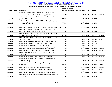## *San Jose et al. v. Ross et al.* **- Case No. 3:18-cv-02279-RS** Case 3:18-cv-02279-RS Document 181-1 Filed 01/25/19 Page 7 of 25

|                      |                                                                              | 18-cv-02279 Doc.                   |               |           |                   |
|----------------------|------------------------------------------------------------------------------|------------------------------------|---------------|-----------|-------------------|
| <b>Evidence Type</b> | <b>Description</b>                                                           | or Trial Exhibit No. Date Admitted |               | <b>AR</b> | AR No.            |
|                      | Email from E. Comstock to P. Davidson, J. Uthmeier, cc: W.                   |                                    |               |           |                   |
| Stipulation          | Teramoto, re: Census Matter Follow Up (9/7/2017)                             | <b>PTX 049</b>                     | 1/4/2019 AR   |           | 0002459 - 0002460 |
|                      | Email from E. Comstock to W. Teramoto re: Memo on Census                     |                                    |               |           |                   |
| Stipulation          | Question (8/16/2017)                                                         | <b>PTX 050</b>                     | 1/4/2019 AR   |           | 0002461           |
|                      | Email from E. Comstock to [REDACTED] re: Call today to discuss               |                                    |               |           |                   |
| Stipulation          | DoC Issues (5/4/2017)                                                        | <b>PTX 051</b>                     | 1/4/2019 AR   |           | 0002462           |
|                      |                                                                              |                                    |               |           |                   |
| Stipulation          | Email from P. Davidson to W. Ross, re: Letter from DOJ (10/8/2017)   PTX 052 |                                    | $1/4/2019$ AR |           | 0002482           |
|                      | Email from P. Davidson to B. Murnane re: John Gore from DOJ                  |                                    |               |           |                   |
| Stipulation          | called - his number is [redacted] (11/27/2017)                               | <b>PTX 053</b>                     | 1/4/2019 AR   |           | 0002496           |
|                      | Email between E. Comstock, W. Ross, and W. Teramoto re: ITA                  |                                    |               |           |                   |
| Stipulation          | Request for [Redacted] (9/1/2017)                                            | <b>PTX 054</b>                     | 1/4/2019 AR   |           | 0002519 - 0002520 |
|                      | Email from E. Comstock to W. Ross re: Your Question on the                   |                                    |               |           |                   |
| Stipulation          | Census (3/10/2017)                                                           | <b>PTX 055</b>                     | $1/4/2019$ AR |           | 0002521 - 0002523 |
| Stipulation          | Email from W. Ross to W. Teramoto re: Census (1/29/2018)                     | <b>PTX 056</b>                     | 1/4/2019 AR   |           | 0002525           |
| Stipulation          | Email from W. Ross to P. Davidson re: Census (9/19/2017)                     | <b>PTX 057</b>                     | 1/4/2019 AR   |           | 0002528           |
| Stipulation          | Email from B. Alexander to H. Geary (4/5/2017)                               | <b>PTX 058</b>                     | 1/4/2019 AR   |           | 0002561           |
| Stipulation          | Email between J. Gore and M. Leach, re: Call (9/13/2017)                     | <b>PTX 059</b>                     | 1/4/2019 AR   |           | 0002628 - 0002629 |
| Stipulation          | Email from Macie Leach to John Gore re: Call (9/13/2017)                     | <b>PTX 060</b>                     | 1/4/2019 AR   |           | 0002634 - 0002635 |
|                      | Emails between W. Teramoto, D. Cutrona, J. Gore re: Call                     |                                    |               |           |                   |
| Stipulation          | (9/18/2017)                                                                  | <b>PTX 061</b>                     | 1/4/2019 AR   |           | 0002636           |
| Stipulation          | Email from W. Teramoto to D. Cutrona re: Call (9/18/2017)                    | <b>PTX 062</b>                     | 1/4/2019 AR   |           | 0002637 - 0002638 |
|                      | Email from W. Teramoto to J. Gore and D. Cutrona re: Call                    |                                    |               |           |                   |
| Stipulation          | $(9/16/2017)$ [AR ]                                                          | <b>PTX 063</b>                     | 1/4/2019 AR   |           | 0002639 - 0002640 |
|                      | Email from J. Rockas to K. Manning re: Citizenship Question                  |                                    |               |           |                   |
| Stipulation          | (3/19/2018)                                                                  | <b>PTX 064</b>                     | 1/4/2019 AR   |           | 0002643 - 0002644 |
| Stipulation          | Email from J. Rockas to W. Teramoto (3/16/2018)                              | <b>PTX 065</b>                     | 1/4/2019 AR   |           | 0002646 - 0002649 |
| Stipulation          | Email from D. Cutrona to W. Teramoto re: Call (9/18/2017)                    | <b>PTX 067</b>                     | 1/4/2019 AR   |           | 0002651 - 0002652 |
| Stipulation          | Email from D. Cutrona to W. Teramoto re: Call (9/17/2017)                    | <b>PTX 068</b>                     | 1/4/2019 AR   |           | 0002653 - 0002654 |
|                      | Email between W. Teramoto and M. Leach, re: John Gore-DOJ                    |                                    |               |           |                   |
| Stipulation          | (9/15/2017)                                                                  | <b>PTX 069</b>                     | 1/4/2019 AR   |           | 0002659           |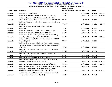## *San Jose et al. v. Ross et al.* **- Case No. 3:18-cv-02279-RS** Case 3:18-cv-02279-RS Document 181-1 Filed 01/25/19 Page 8 of 25

|                      |                                                                    | 18-cv-02279 Doc.                   |               |           |                   |
|----------------------|--------------------------------------------------------------------|------------------------------------|---------------|-----------|-------------------|
| <b>Evidence Type</b> | <b>Description</b>                                                 | or Trial Exhibit No. Date Admitted |               | <b>AR</b> | AR No.            |
| Stipulation          | 2016 Internet Breakoff Rates                                       | <b>PTX 070</b>                     | 1/4/2019 AR   |           | 0002737 - 0002741 |
| Stipulation          | Email from R. Jarmin to K. Kelley re: Question (2/14/2018)         | <b>PTX 071</b>                     | 1/4/2019 AR   |           | 0003274 - 0003276 |
|                      | Email from R. Jarmin to K. Kelley re: Request to Reinstate         |                                    |               |           |                   |
| Stipulation          | Citizenship Question on 2020 Census Questionnaire (12/22/2017)     | <b>PTX 072</b>                     | $1/4/2019$ AR |           | 0003289           |
|                      | Email from S. Buckner to R. Jarmin re: Urgent query from Science   |                                    |               |           |                   |
| Stipulation          | (1/2/2018)                                                         | <b>PTX 073</b>                     | 1/4/2019 AR   |           | 0003323 - 0003324 |
|                      | Email from E. Lamas to A. Willard re: Please call Karen            |                                    |               |           |                   |
| Stipulation          | (12/15/2017)                                                       | <b>PTX 074</b>                     | $1/4/2019$ AR |           | 0003347           |
| Stipulation          | Email from J. Abowd to R. Jarmin re: DOJ Letter (12/15/2017)       | <b>PTX 075</b>                     | $1/4/2019$ AR |           | 0003354 - 0003355 |
| Stipulation          | Email from R. Jarmin to K. Kelley re: DOJ (2/6/2018)               | <b>PTX 076</b>                     | 1/4/2019 AR   |           | 0003460           |
|                      | Email from E. Lamas to K. Kelley re: Two questions from Molly      |                                    |               |           |                   |
| Stipulation          | McCarthy on Citizenship as a topic (10/11/2017)                    | <b>PTX 077</b>                     | $1/4/2019$ AR |           | 0003470 - 0003471 |
|                      | Email from S. Park-Su to M. Walsh and B. Lenihan re: FW: MOU       |                                    |               |           |                   |
| Stipulation          | Update (3/6/2018)                                                  | <b>PTX 078</b>                     | 1/4/2019 AR   |           | 0003588           |
|                      | Email from E. Comstock to K. Kelley, M. Walsh, and J. Rockas re:   |                                    |               |           |                   |
|                      | Potential House CJS Minority Questions for Tomorrow's Hearing      |                                    |               |           |                   |
| Stipulation          | (3/20/2018)                                                        | <b>PTX 079</b>                     | 1/4/2019 AR   |           | 0003597           |
|                      | Email from D. Langdon to E. Comstock re: 2020 Census Topics        |                                    |               |           |                   |
| Stipulation          | (3/10/2017)                                                        | <b>PTX 080</b>                     | 1/4/2019 AR   |           | 0003685           |
|                      | Email from D. Langdon to E. Comstock and E. Herbst re: 2020 topics |                                    |               |           |                   |
| Stipulation          | briefing (3/15/2017)                                               | <b>PTX 081</b>                     | 1/4/2019 AR   |           | 0003686           |
| Stipulation          | Email from B. Alexander to E. Comstock (4/20/2017)                 | <b>PTX 082</b>                     | $1/4/2019$ AR |           | 0003694           |
|                      | Email from E. Comstock to W. Ross re: "FW: Census Testimony for    |                                    |               |           |                   |
| Stipulation          | Wed. May 3 House CJS Hearing" (5/1/2017)                           | <b>PTX 083</b>                     | $1/4/2019$ AR |           | 0003695 - 0003697 |
| Stipulation          | Email from W. Ross to W. Teramoto re: Census (5/2/2017)            | <b>PTX 084</b>                     | $1/4/2019$ AR |           | 0003699 - 0003700 |
| Stipulation          | Email from E. Comstock to E. Branstad re: DOJ contact (5/4/2017)   | <b>PTX 085</b>                     | $1/4/2019$ AR |           | 0003701           |
|                      | Email from D. Langdon to L. Blumerman, "Fwd: Requested             |                                    |               |           |                   |
| Stipulation          | Information - Legal Review All Residents" (5/24/2017)              | <b>PTX 086</b>                     | $1/4/2019$ AR |           | 0003702 - 0003704 |
|                      | Calendar Invite from J. Uthmeier to E. Comstock for meet with      |                                    |               |           |                   |
| Stipulation          | James re: Census Citizenship (6/27/2017)                           | <b>PTX 087</b>                     | $1/4/2019$ AR |           | 0003705           |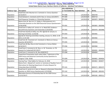## *San Jose et al. v. Ross et al.* **- Case No. 3:18-cv-02279-RS** Case 3:18-cv-02279-RS Document 181-1 Filed 01/25/19 Page 9 of 25

|                      |                                                                      | 18-cv-02279 Doc.                   |               |           |                   |
|----------------------|----------------------------------------------------------------------|------------------------------------|---------------|-----------|-------------------|
| <b>Evidence Type</b> | <b>Description</b>                                                   | or Trial Exhibit No. Date Admitted |               | <b>AR</b> | AR No.            |
|                      | Email from A.M. Neuman to E. Comstock re: Census Question            |                                    |               |           |                   |
| Stipulation          | (4/14/2017)                                                          | <b>PTX 088</b>                     | $1/4/2019$ AR |           | 0003709           |
| Stipulation          | Email between E. Comstock and W. Ross re: Census (5/2/2017)          | <b>PTX 089</b>                     | $1/4/2019$ AR |           | 0003710           |
| Stipulation          | Draft Response Template re: Citizenship Question                     | <b>PTX 090</b>                     | 1/4/2019 AR   |           | 0003870 - 0003871 |
|                      | Memo from W. Ross to K. D. Kelley re: Reinstatement of a             |                                    |               |           |                   |
|                      | Citizenship Question on the 2020 Decennial Census Questionnaire      |                                    |               |           |                   |
| Stipulation          | (3/26/2018)                                                          | <b>PTX 091</b>                     | $1/4/2019$ AR |           | 0003893 - 0003900 |
|                      | Email from K. Kelley to R. Jarmin re: re: Need DOC Guidance--        |                                    |               |           |                   |
| Stipulation          | Race/Ethnicity Questions and Citizenship (1/24/2018)                 | <b>PTX 092</b>                     | 1/4/2019 AR   |           | 0003978 - 0003980 |
|                      | Email from Quinley to Kelly, et al. RE: Agenda for January 11        |                                    |               |           |                   |
| Stipulation          | Steering Committee (1/10/18)                                         | <b>PTX 093</b>                     | $1/4/2019$ AR |           | 0003981           |
|                      | Agenda for Steering Committee meeting, January 11, 2018, 11:45       |                                    |               |           |                   |
| Stipulation          | AM to 12:45 AM                                                       | <b>PTX 094</b>                     | $1/4/2019$ AR |           | 0003982           |
|                      | Email from W. Teramoto to E. Comstock re: Memo on Census             |                                    |               |           |                   |
| Stipulation          | Question (8/16/2017)                                                 | <b>PTX 095</b>                     | $1/4/2019$ AR |           | 0003983           |
|                      | Email from W ilbur Ross to Earl Comstock re: Census Matter           |                                    |               |           |                   |
| Stipulation          | (8/10/2017)                                                          | <b>PTX 096</b>                     | 1/4/2019 AR   |           | 0003984           |
|                      | Email from E. Comstock to W. Ross, cc: W. Teramoto, re: ITA          |                                    |               |           |                   |
| Stipulation          | Request for [redacted] (9/1/2017)                                    | <b>PTX 097</b>                     | 1/4/2019 AR   |           | 0004002 - 0004003 |
| Stipulation          | Email from E. Comstock to W. Ross (8/8/2017)                         | <b>PTX 098</b>                     | 1/4/2019 AR   |           | 0004004           |
|                      | PowerPoint Presentation (with notes) titled, "Submission of the      |                                    |               |           |                   |
|                      | 2020 Census and American Community Survey Questions to               |                                    |               |           |                   |
| Stipulation          | Congress" (Feb. 2018)                                                | <b>PTX 099</b>                     | 1/4/2019 AR   |           | 0004802 - 0004826 |
| Stipulation          | Hearing Prep: Tribal Qs&As for February 14, 2018                     | <b>PTX 100</b>                     | 1/4/2019 AR   |           | 0004863 - 0004877 |
|                      | Memo from J. Abowd to R. Jarmin re: Summary of Quality/ Cost of      |                                    |               |           |                   |
|                      | Alternatives for Meeting Department of Justice Request for           |                                    |               |           |                   |
| Stipulation          | Citizenship Data (1/3/2018)                                          | <b>PTX 101</b>                     | $1/4/2019$ AR |           | 0005473 - 0005475 |
|                      | Email from R. Jarmin to A. Gary re: Request to Reinstate Citizenship |                                    |               |           |                   |
| Stipulation          | Question on 2020 Census Questionnaire (1/3/2018)                     | <b>PTX 102</b>                     | $1/4/2019$ AR |           | 0005489 - 0005491 |
|                      | Alternative Sources of Citizenship Data for the 2020 Census          |                                    |               |           |                   |
| Stipulation          | (12/22/2017)                                                         | <b>PTX 103</b>                     | $1/4/2019$ AR |           | 0005500 - 0005511 |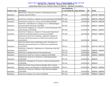## *San Jose et al. v. Ross et al.* **- Case No. 3:18-cv-02279-RS** Case 3:18-cv-02279-RS Document 181-1 Filed 01/25/19 Page 10 of 25

|                      |                                                                             | 18-cv-02279 Doc.                   |               |           |                   |
|----------------------|-----------------------------------------------------------------------------|------------------------------------|---------------|-----------|-------------------|
| <b>Evidence Type</b> | Description                                                                 | or Trial Exhibit No. Date Admitted |               | <b>AR</b> | AR No.            |
|                      | Memo from S. Ewert to K. Humes re: Citizenship and survey                   |                                    |               |           |                   |
| Stipulation          | response rates (2/7/2017)                                                   | <b>PTX 104</b>                     | 1/4/2019 AR   |           | 0005596 - 0005604 |
|                      |                                                                             |                                    |               |           |                   |
| Stipulation          | Email from K. Prewitt to J. Abowd re census citizenship (2/25/2018) PTX 105 |                                    | $1/4/2019$ AR |           | 0006156 - 0006158 |
| Stipulation          | Email from M. Hansen to S. Jost re: Census 2020 (2/6/2018)                  | <b>PTX 106</b>                     | 1/4/2019 AR   |           | 0006236 - 0006238 |
|                      | Email from J. David Brown to J. Eltinge, et al. re: Methodological          |                                    |               |           |                   |
| Stipulation          | text and selected references (1/3/2018)                                     | <b>PTX 107</b>                     | 1/4/2019 AR   |           | 0006575 - 0006595 |
|                      | Email from M. Heggeness to J. Abowd re: Internal Meeting Re: DOJ            |                                    |               |           |                   |
| Stipulation          | Letter Response (1/2/2018)                                                  | <b>PTX 108</b>                     | 1/4/2019 AR   |           | 0006623 - 0006624 |
|                      | Email from P. Beatty to J. Abowd re: Trump Justice Department               |                                    |               |           |                   |
| Stipulation          | Pushed for Citizenship Question on Census (1/2/2018)                        | <b>PTX 109</b>                     | $1/4/2019$ AR |           | 0006629 - 0006633 |
|                      | Email from R. Jarmin to A. Fontenot, J. Abowd re: Request to                |                                    |               |           |                   |
|                      | Reinstate Citizenship Question on 2020 Census Questionnaire                 |                                    |               |           |                   |
| Stipulation          | (12/22/2017)                                                                | <b>PTX 110</b>                     | 1/4/2019 AR   |           | 0006659           |
|                      | Letter from Arthur Gary to Defendant Jarmin, Re: Request to                 |                                    |               |           |                   |
|                      | Reinstate Citizenship Question on 2020 Census Questionnaire                 |                                    |               |           |                   |
| Stipulation          | (12/12/2017)                                                                | <b>PTX 111</b>                     | 1/4/2019 AR   |           | 0007729 - 0007731 |
|                      | Email from J. Abowd to J. Whitehorne re: Citizenship on the ACS             |                                    |               |           |                   |
| Stipulation          | (12/18/2017)                                                                | <b>PTX 112</b>                     | $1/4/2019$ AR |           | 0008239 - 0008240 |
| Stipulation          | 2020 Census: Adding Content to the Questionnaire                            | <b>PTX 113</b>                     | 1/4/2019 AR   |           | 0008291           |
| Stipulation          | Email from R. Jarmin to C. Jones re: Question (2/14/2018)                   | <b>PTX 114</b>                     | 1/4/2019 AR   |           | 0008325 - 0008328 |
|                      | Email from R. Jarmin to A. Fontenot re: Citizenship question                |                                    |               |           |                   |
| Stipulation          | (1/18/2018)                                                                 | <b>PTX 115</b>                     | $1/4/2019$ AR |           | 0008345           |
|                      | Email from J. Thompson to R. Jarmin re: Letter to Secretary Ross            |                                    |               |           |                   |
| Stipulation          | (1/29/2018)                                                                 | <b>PTX 116</b>                     | 1/4/2019 AR   |           | 0008554           |
|                      | Letter from former Census Directors Barabba, Riche, Prewitt,                |                                    |               |           |                   |
| Stipulation          | Murdock, Groves, and Thompson to Secretary Ross (1/26/2018)                 | <b>PTX 117</b>                     | $1/4/2019$ AR |           | 0008555 - 0008556 |
|                      | Email from E. Lamas to S. Buckner re: DOC Clearance Update                  |                                    |               |           |                   |
| Stipulation          | (1/24/2018)                                                                 | <b>PTX 118</b>                     | $1/4/2019$ AR |           | 0008558 - 0008560 |
| Stipulation          | Email from S. Buckner to R. Jarmin (1/4/2018)                               | <b>PTX 119</b>                     | 1/4/2019 AR   |           | 0008630 - 0008631 |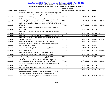## *San Jose et al. v. Ross et al.* **- Case No. 3:18-cv-02279-RS** Case 3:18-cv-02279-RS Document 181-1 Filed 01/25/19 Page 11 of 25

|                      |                                                                   | 18-cv-02279 Doc.                   |               |           |                   |
|----------------------|-------------------------------------------------------------------|------------------------------------|---------------|-----------|-------------------|
| <b>Evidence Type</b> | <b>Description</b>                                                | or Trial Exhibit No. Date Admitted |               | <b>AR</b> | AR No.            |
|                      | Email from J. Abowd to S. Garfinkel re: 2018-03-08 Challenges and |                                    |               |           |                   |
|                      | Experiences Adapting Differentially Private Mechanisms to the     |                                    |               |           |                   |
| Stipulation          | 2020 Census (3/5/2018)                                            | <b>PTX 120</b>                     | $1/4/2019$ AR |           | 0008911           |
|                      | Garfinkel Presentation- "Challenges and Experiences Adapting      |                                    |               |           |                   |
| Stipulation          | Differentially Private Mechanisms to the 2020 Census"             | <b>PTX 121</b>                     | $1/4/2019$ AR |           | 0008912 - 0008953 |
|                      | Email from J. Abowd to B. Reist et al. re: FINAL VERSION ATTACHED |                                    |               |           |                   |
| Stipulation          | (1/4/2018)                                                        | <b>PTX 122</b>                     | $1/4/2019$ AR |           | 0009008 - 0009012 |
|                      | Email from J. Abowd to J. Brown et al. re: DOJ Letter Follow-up   |                                    |               |           |                   |
| Stipulation          | (12/19/2017)                                                      | <b>PTX 123</b>                     | $1/4/2019$ AR |           | 0009068           |
|                      | Email from C. Jones to S. Park-Su re: Draft Response to Question  |                                    |               |           |                   |
| Stipulation          | (2/24/2018)                                                       | <b>PTX 124</b>                     | 1/4/2019 AR   |           | 0009190 - 0009191 |
| Stipulation          | Email from K. Hancher to R. Jarmin re: DOJ Meeting (2/15/2018)    | <b>PTX 125</b>                     | 1/4/2019 AR   |           | 0009193           |
|                      | Email from J. Abowd to K. Evans re: Is this the memo you referred |                                    |               |           |                   |
| Stipulation          | to on the call? (3/5/2018)                                        | <b>PTX 126</b>                     | $1/4/2019$ AR |           | 0009345 - 0009346 |
| Stipulation          | Email from R. Jarmin to M. Berning re: SSA (2/13/2018)            | <b>PTX 127</b>                     | 1/4/2019 AR   |           | 0009444           |
|                      | Email from J. Treat to R. Jarmin re: Notes from the meeting with  |                                    |               |           |                   |
| Stipulation          | the Secretary (2/13/2018)                                         | <b>PTX 128</b>                     | 1/4/2019 AR   |           | 0009450           |
| Stipulation          | Email from [Redacted] to R. Jarmin re: Items (1/2/2018)           | <b>PTX 129</b>                     | 1/4/2019 AR   |           | 0009679           |
| Stipulation          | 2016 Breakoff data                                                | <b>PTX 130</b>                     | 1/4/2019 AR   |           | 0009692 - 0009696 |
|                      | Email from R. Jarmin to K. Kelley re: Need DOC Guidance--         |                                    |               |           |                   |
| Stipulation          | Race/Ethnicity Questions and Citizenship (1/24/2018)              | <b>PTX 131</b>                     | $1/4/2019$ AR |           | 0009739           |
| Stipulation          | Email to K. Kelley re: Items to cover w/ Izzy (9/5/2017)          | <b>PTX 132</b>                     | 1/4/2019 AR   |           | 0009799 - 0009800 |
|                      | Memo from J. Abowd to W. Ross re: Preliminary analysis of         |                                    |               |           |                   |
| Stipulation          | Alternative D (Combined Alternatives B and C) (3/1/2018)          | <b>PTX 133</b>                     | 1/4/2019 AR   |           | 0009812 - 0009833 |
|                      | Memo from E. Comstock to W. Ross re: Census Discussions with      |                                    |               |           |                   |
| Stipulation          | DoJ (9/8/2017)                                                    | <b>PTX 134</b>                     | $1/4/2019$ AR |           | 0009834           |
| Stipulation          | 2020 Census: Adding Content to the Questionnaire                  | <b>PTX 135</b>                     | 1/4/2019 AR   |           | 0009865           |
| Stipulation          | 2017 Break-off analysis                                           | <b>PTX 136</b>                     | 1/4/2019 AR   |           | 0010382 - 0010384 |
|                      | Memorandum from Center for Survey Measurement (CSM) to            |                                    |               |           |                   |
|                      | Associate Directorate for Research and Methodology re:            |                                    |               |           |                   |
| Stipulation          | Respondent Confidentiality Concerns (9/20/2017) (redacted)        | <b>PTX 137</b>                     | 1/4/2019 AR   |           | 0010386 - 0010393 |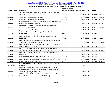## *San Jose et al. v. Ross et al.* **- Case No. 3:18-cv-02279-RS** Case 3:18-cv-02279-RS Document 181-1 Filed 01/25/19 Page 12 of 25

|                      |                                                                  | 18-cv-02279 Doc.                   |               |           |                   |
|----------------------|------------------------------------------------------------------|------------------------------------|---------------|-----------|-------------------|
| <b>Evidence Type</b> | <b>Description</b>                                               | or Trial Exhibit No. Date Admitted |               | <b>AR</b> | AR No.            |
|                      | American Community Survey (ACS) Response Rate by Mode (CAPI      |                                    |               |           |                   |
| Stipulation          | Data Tables)                                                     | <b>PTX 138</b>                     | 1/4/2019 AR   |           | 0010408 - 0010413 |
| Stipulation          | Draft Memo - 2018. Executive Summary                             | <b>PTX 139</b>                     | $1/4/2019$ AR |           | 0010499 - 0010508 |
| Stipulation          | Draft Memo - 2018. Executive Summary                             | <b>PTX 140</b>                     | $1/4/2019$ AR |           | 0010509 - 0010519 |
|                      | Questions on the Jan 19 Draft Census Memo on the DOJ Citizenship |                                    |               |           |                   |
| Stipulation          | <b>Question Reinstatement Request</b>                            | <b>PTX 141</b>                     | $1/4/2019$ AR |           | 0010895 - 0010902 |
|                      | Memo from S. Ewert to K. Humes re: Citizenship and survey        |                                    |               |           |                   |
| Stipulation          | response rates (2/7/2017)                                        | <b>PTX 142</b>                     | 1/4/2019 AR   |           | 0010913 - 0010921 |
| Stipulation          | Spreadsheet re: Question Assignments                             | <b>PTX 143</b>                     | 1/4/2019 AR   |           | 0010950           |
|                      | Email from P. Davidson to W. Ross, re: Census Questions          |                                    |               |           |                   |
| Stipulation          | (11/28/2017)                                                     | <b>PTX 144</b>                     | 1/4/2019 AR   |           | 0011193           |
|                      | Email from B. Page to R. Jarmin re: Census Question Request      |                                    |               |           |                   |
| Stipulation          | (12/20/2017)                                                     | <b>PTX 145</b>                     | 1/4/2019 AR   |           | 0011194 - 0011196 |
|                      | Email from J. Uthmeier to M. Neuman [confirmed by Privilege Log] |                                    |               |           |                   |
| Stipulation          | re: Questions re Census (9/13/2017)                              | <b>PTX 146</b>                     | $1/4/2019$ AR |           | 0011329 - 0011330 |
|                      | Email to W. Ross and W. Teramoto from E. Comstock re: Memo on    |                                    |               |           |                   |
| Stipulation          | Census Question (8/11/2017)                                      | <b>PTX 147</b>                     | $1/4/2019$ AR |           | 0011362           |
|                      | Memo from M. Berning et al., to J. Abowd re: Alternative Sources |                                    |               |           |                   |
| Stipulation          | of Citizenship Data for the 2020 Census (12/22/2017)             | <b>PTX 148</b>                     | $1/4/2019$ AR |           | 0011634 - 0011645 |
|                      | Email from K. Dunn Kelley to A. Willard re: Notes from drive     |                                    |               |           |                   |
| Stipulation          | (10/9/2017)                                                      | <b>PTX 149</b>                     | $1/4/2019$ AR |           | 0012464           |
| Stipulation          | Email chain between Ross and Dunn Kelley (1/16/2018)             | <b>PTX 150</b>                     | 1/4/2019 AR   |           | 0012479           |
| Stipulation          | Email chain between Langdon and census employees (5/24/2017)     | <b>PTX 151</b>                     | $1/4/2019$ AR |           | 0012541 - 0012542 |
| Stipulation          | 2017 Breakoff Rates by Race Group                                | <b>PTX 152</b>                     | $1/4/2019$ AR |           | 0012757 - 0012762 |
|                      | 2020 CBAMS Focus Groups Audience Summary Report [0013025 -       |                                    |               |           |                   |
| Trial Exhibit        | 00130551                                                         | <b>PTX 153</b>                     | 1/7/2019      |           |                   |
|                      | Email from Secretary Ross to W. Teramoto dated 9/19/2017,        |                                    |               |           |                   |
|                      | forwarding 9/8/2017 memo from Comstock to Secretary Ross         |                                    |               |           |                   |
| Stipulation          | (unredacted) [COM DIS00016106]                                   | <b>PTX 154</b>                     | $1/4/2019$ AR |           |                   |
|                      | 2012-2016 ACS CAPI Response Rate by Tract Percentage of Housing  |                                    |               |           |                   |
| Stipulation          | Units with at least One Noncitizen [0010678DRB]                  | <b>PTX 156</b>                     | $1/4/2019$ AR |           |                   |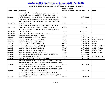## *San Jose et al. v. Ross et al.* **- Case No. 3:18-cv-02279-RS** Case 3:18-cv-02279-RS Document 181-1 Filed 01/25/19 Page 13 of 25

|                      |                                                                     | 18-cv-02279 Doc.                   |               |           |                 |
|----------------------|---------------------------------------------------------------------|------------------------------------|---------------|-----------|-----------------|
| <b>Evidence Type</b> | <b>Description</b>                                                  | or Trial Exhibit No. Date Admitted |               | <b>AR</b> | AR No.          |
|                      | Memorandum from Center for Survey Measurement to Associate          |                                    |               |           |                 |
|                      | Directorate for Research and Methodology re: Respondent             |                                    |               |           |                 |
| Stipulation          | Confidentiality Concerns (Sept. 20, 2017) [COM_DIS00002446]         | <b>PTX 157</b>                     | $1/4/2019$ AR |           |                 |
|                      | Respondent Confidentiality Concerns in Multilingual Pretesting      |                                    |               |           |                 |
|                      | Studies and Possible Effects on Response Rates and Data Quality     |                                    |               |           |                 |
| <b>Trial Exhibit</b> | for the 2020 Census                                                 | <b>PTX 158</b>                     | 1/7/2019      |           |                 |
|                      | Brown, David, et al., Understanding the Quality of Alternative      |                                    |               |           |                 |
| <b>Trial Exhibit</b> | Citizenship Data Sources for the 2020 Census (August 6, 2018)       | <b>PTX 160</b>                     | 1/7/2019      |           |                 |
|                      | 2020 Census Barriers, Attitudes and Motivators Study (CBAMS)        |                                    |               |           |                 |
| <b>Trial Exhibit</b> | High-Level Findings                                                 | <b>PTX 161</b>                     | 1/11/2019     |           |                 |
| <b>Trial Exhibit</b> | Veloff Email to Enrique Lumas re: With Cost Estimate                | <b>PTX 162</b>                     | 1/7/2019      |           |                 |
| <b>Trial Exhibit</b> | Proposed Content Test - Victoria Velkoff                            | <b>PTX 163</b>                     | 1/7/2019      |           |                 |
| Stipulation          | Letter from Goodlatte to Ross (2/27/2018)                           | <b>PTX 164</b>                     | $1/4/2019$ AR |           | 001164          |
| Stipulation          | Letter from Mateer to Jarmin (2/23/2018)                            | <b>PTX 165</b>                     | 1/4/2019 AR   |           | 001155 - 001157 |
| Stipulation          | Letter from Lawson to Ross (2/23/2018)                              | <b>PTX 166</b>                     | 1/4/2019 AR   |           | 001153          |
| Stipulation          | Letter from Warner to Ross (2/23/2018)                              | <b>PTX 167</b>                     | $1/4/2019$ AR |           | 001159          |
| Stipulation          | Letter from Marshall to Ross (2/23/2018)                            | <b>PTX 168</b>                     | 1/4/2019 AR   |           | 001161 - 001162 |
| Stipulation          | Letter from Hunter to Ross (3/13/2018)                              | <b>PTX 169</b>                     | 1/4/2019 AR   |           | 001210 - 001212 |
| Stipulation          | Letter from Cotton to Ross (2/27/2018)                              | <b>PTX 170</b>                     | 1/4/2019 AR   |           | 001178 - 001179 |
| Stipulation          | Letter from Kirsanow to Jarmin (3/15/2018)                          | <b>PTX 172</b>                     | 1/4/2019 AR   |           | 001217 - 001219 |
| Stipulation          | Letter from Kobach to Ross (2/12/2018) [COM_DIS00014132]            | <b>PTX 173</b>                     | 1/4/2019 AR   |           |                 |
| Stipulation          | Letter from King to Ross (2/16/2018)                                | <b>PTX 174</b>                     | 1/4/2019 AR   |           | 001129 - 001130 |
| Stipulation          | Report re "letters received" [COM_DIS00014138]                      | <b>PTX 175</b>                     | 1/4/2019 AR   |           |                 |
|                      | Email chain between W. Ross, B. Lenihan, J. Uthmeier, J. Rockas re: |                                    |               |           |                 |
|                      | SHORT FUSE: Fw: Census/immigration status story (Deadline: Today    |                                    |               |           |                 |
| Stipulation          | 2:45pm) (12/29/2017) [COM_DIS00014335]                              | <b>PTX 176</b>                     | 1/4/2019 AR   |           |                 |
|                      | Email chain between W. Ross, B. Lenihan, J. Uthmeier, J. Rockas re: |                                    |               |           |                 |
|                      | SHORT FUSE: Fw: Census/immigration status story (Deadline: Today    |                                    |               |           |                 |
| Stipulation          | 2:45pm) (12/29/2017) [COM_DIS00014338]                              | <b>PTX 177</b>                     | 1/4/2019 AR   |           |                 |
|                      | Email chain between J. Uthmeier, S. Park-Su, E. Comstock, P.        |                                    |               |           |                 |
|                      | Davidson, W. Teramoto, re: Census Matter Follow-Up (9/11/2017)      |                                    |               |           |                 |
| Stipulation          | [COM DIS00014666]                                                   | <b>PTX 178</b>                     | $1/4/2019$ AR |           |                 |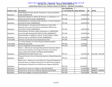## *San Jose et al. v. Ross et al.* **- Case No. 3:18-cv-02279-RS** Case 3:18-cv-02279-RS Document 181-1 Filed 01/25/19 Page 14 of 25

|                      |                                                                 | 18-cv-02279 Doc.                   |               |           |                   |
|----------------------|-----------------------------------------------------------------|------------------------------------|---------------|-----------|-------------------|
| <b>Evidence Type</b> | <b>Description</b>                                              | or Trial Exhibit No. Date Admitted |               | <b>AR</b> | AR No.            |
|                      | Email between W. Ross and W. Teramoto re: Census (5/2/2017)     |                                    |               |           |                   |
| Stipulation          | [COM_DIS00016118]                                               | <b>PTX 179</b>                     | 1/4/2019 AR   |           |                   |
|                      | Email chain between E. Herbst, M. Neuman, E. Comstock re: 17-   |                                    |               |           |                   |
| Stipulation          | 053169 (3/14/2017) [COM DIS00016561]                            | <b>PTX 180</b>                     | 1/4/2019 AR   |           |                   |
|                      | Email between E. Comstock and M. Neuman, re: Census Question    |                                    |               |           |                   |
| Stipulation          | (4/14/2017) [COM_DIS00018614]                                   | <b>PTX 181</b>                     | 1/4/2019 AR   |           |                   |
|                      | Email between E. Comstock and M. Neuman re: One of the          |                                    |               |           |                   |
|                      | Supreme Court cases that informs planning for 2020 Census       |                                    |               |           |                   |
| Stipulation          | (4/11/2017) [COM DIS00018615]                                   | <b>PTX 182</b>                     | 1/4/2019 AR   |           |                   |
|                      | Email between Teramoto, Kelley and Neuman re: IMPORTANT:        |                                    |               |           |                   |
| Stipulation          | From Oversight Hearing (10/13/2017) [COM_DIS00020557]           | <b>PTX 184</b>                     | 1/4/2019 AR   |           |                   |
|                      | Emails between A. Willard, S. Park-Su, K. Dunn Kelley re: Mark  |                                    |               |           |                   |
| Stipulation          | Neuman mtg req. (8/29/2017) [COM_DIS00020561]                   | <b>PTX 185</b>                     | 1/4/2019 AR   |           |                   |
| <b>Trial Exhibit</b> | American Community Survey Questionnaire 2017                    | <b>PTX 202</b>                     | 1/7/2019      |           |                   |
|                      | U.S. Census Bureau, U.S. Census Bureau Statistical Quality      |                                    |               |           |                   |
| <b>Trial Exhibit</b> | Standards (July 2013)                                           | <b>PTX 205</b>                     | 1/7/2019      |           |                   |
| Trial Exhibit        | Census Integrated Communications Plan                           | <b>PTX 210</b>                     | 1/7/2019      |           |                   |
|                      | Mule, T., 2010 Census Coverage Measurement Estimation Report:   |                                    |               |           |                   |
|                      | Summary of Estimates of Coverage for Persons in the United      |                                    |               |           |                   |
|                      | States, (DSSD 2010 CENSUS COVERAGE MEASUREMENT                  |                                    |               |           |                   |
| Stipulation          | MEMORANDUM SERIES #2010-G-01)                                   | <b>PTX 211</b>                     | 1/4/2019 AR   |           | 0011390 - 0011428 |
|                      | Proposed Content Test on Citizenship Question (Abowd Deposition |                                    |               |           |                   |
| Stipulation          | Exhibit)                                                        | <b>PTX 212</b>                     | 1/14/2019     |           |                   |
|                      | Memo from L. Blumerman to the Record re: Planned Development    |                                    |               |           |                   |
|                      | and Submission of Subjects Planned for the 2020 Census Program  |                                    |               |           |                   |
|                      | and Questions Planned for the 2020 Census Program (4/29/16)     |                                    |               |           |                   |
| Stipulation          |                                                                 | <b>PTX 214</b>                     | 1/14/2019     |           |                   |
| Stipulation          | Email from R. Jarmin to K. Kelley re: DOJ (12/19/2017)          | <b>PTX 227</b>                     | $1/4/2019$ AR |           | 0001357           |
| Stipulation          | Email from R. Jarmin to K. Kelley Re: Question (2/13/2018)      | <b>PTX 228</b>                     | $1/4/2019$ AR |           | 0004853 - 0004856 |
| Stipulation          | Email from Langdon to Comstock (5/24/2017)                      | <b>PTX 244</b>                     | $1/4/2019$ AR |           | 0012465           |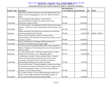## *San Jose et al. v. Ross et al.* **- Case No. 3:18-cv-02279-RS** Case 3:18-cv-02279-RS Document 181-1 Filed 01/25/19 Page 15 of 25

|                      |                                                                     | 18-cv-02279 Doc.                   |             |           |                 |
|----------------------|---------------------------------------------------------------------|------------------------------------|-------------|-----------|-----------------|
| <b>Evidence Type</b> | <b>Description</b>                                                  | or Trial Exhibit No. Date Admitted |             | <b>AR</b> | AR No.          |
|                      | Department of Justice's Guidance Concerning Redistricting Under     |                                    |             |           |                 |
|                      | Section 5 of the Voting Rights Act, 76 F.R. 27, 7649, 7471 (Feb. 9, |                                    |             |           |                 |
| <b>Trial Exhibit</b> | $2011$ ).                                                           | <b>PTX 247</b>                     | 1/14/2019   |           |                 |
|                      | U.S. Census Bureau News Release, "Census Bureau                     |                                    |             |           |                 |
|                      | Releases Estimates of Undercount and Overcount in the               |                                    |             |           |                 |
| <b>Trial Exhibit</b> | 2010 Census" (May 22, 2012)                                         | <b>PTX 248</b>                     | 1/14/2019   |           |                 |
|                      | U.S. Census Bureau, "Investigating the 2010 Undercount of Young     |                                    |             |           |                 |
|                      | Children - Analysis of Census Coverage Measurement Results" (Jan.   |                                    |             |           |                 |
| Trial Exhibit        | 2017)                                                               | <b>PTX 250</b>                     | 1/14/2019   |           |                 |
|                      | Subjects Planned for the 2020 Census and American Community         |                                    |             |           |                 |
| Stipulation          | Survey (Issued March 2017, Revised)                                 | <b>PTX 264</b>                     | 1/4/2019 AR |           | 000194 - 000270 |
|                      | Charter of the Interagency Council on Statistical Policy,           |                                    |             |           |                 |
|                      | Subcommittee on the American Community Survey (Aug. 10, 2012,       |                                    |             |           |                 |
| Trial Exhibit        | rev. Nov. 15, 2017)                                                 | <b>PTX 265</b>                     | 1/14/2019   |           |                 |
|                      | Office of Management and Budget (OMB), Standards and                |                                    |             |           |                 |
| Trial Exhibit        | Guidelines for Statistical Surveys (Sept. 2006)                     | <b>PTX 266</b>                     | 1/7/2019    |           |                 |
|                      | U.S. Government Accountability Office (GAO), Actions Needed to      |                                    |             |           |                 |
|                      | Address Challenge to Enumerating Hard-to-Count Groups (GAO-18-      |                                    |             |           |                 |
| Trial Exhibit        | 599) (July 2018)                                                    | <b>PTX 272</b>                     | 1/14/2019   |           |                 |
|                      | U.S. Census Bureau 2017, "2020 Census Operation Plan: A New         |                                    |             |           |                 |
| Stipulation          | Design for the 21st Census. V.3." (September, 2017)                 | <b>PTX 274</b>                     | 1/4/2019 AR |           |                 |
|                      | J. David Brown, Jennifer H. Childs, and Amy O'Hara, "Using the      |                                    |             |           |                 |
|                      | Census to Evaluate Administrative Records and Vice Versa,"          |                                    |             |           |                 |
|                      | Proceedings of the 2015 Federal Committee on Statistical            |                                    |             |           |                 |
| <b>Trial Exhibit</b> | Methodology (FCSM) Research Conference (2015)                       | <b>PTX 288</b>                     | 1/7/2019    |           |                 |
|                      | De La Puente, Manuel, "Using Ethnography to Explain Why People      |                                    |             |           |                 |
|                      | Are Missed or Erroneously Included by the Census: Evidence from     |                                    |             |           |                 |
|                      | Small Area Ethnographic Studies." Center for Survey Methods         |                                    |             |           |                 |
| Trial Exhibit        | Research, US Census Bureau (1995)                                   | <b>PTX 308</b>                     | 1/9/2019    |           |                 |
|                      | De La Puente, Manuel, "Census 2000 Ethnographic Studies Final       |                                    |             |           |                 |
|                      | Report," Census 2000 Topic Report Ethnographic Studies, US          |                                    |             |           |                 |
| <b>Trial Exhibit</b> | Census Bureau Statistical Research Division (2004)                  | <b>PTX 309</b>                     | 1/9/2019    |           |                 |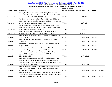## *San Jose et al. v. Ross et al.* **- Case No. 3:18-cv-02279-RS** Case 3:18-cv-02279-RS Document 181-1 Filed 01/25/19 Page 16 of 25

|                      |                                                                       | 18-cv-02279 Doc.                   |               |           |                   |
|----------------------|-----------------------------------------------------------------------|------------------------------------|---------------|-----------|-------------------|
| <b>Evidence Type</b> | <b>Description</b>                                                    | or Trial Exhibit No. Date Admitted |               | <b>AR</b> | AR No.            |
|                      | Meyers, Mikelyn, "Respondent Confidentiality Concerns and             |                                    |               |           |                   |
|                      | Possible Effects on Response Rates and Data Quality for the 2020      |                                    |               |           |                   |
| <b>Trial Exhibit</b> | Census." (Nov. 2, 2017) [COM_DIS00002481]                             | <b>PTX 326</b>                     | 1/9/2019      |           |                   |
|                      | U. S. Government Accountability Office (GAO), Decennial Census:       |                                    |               |           |                   |
|                      | Lessons Learned from Locating and Counting Migrant and Seasonal       |                                    |               |           |                   |
| <b>Trial Exhibit</b> | Farm Workers. (GAO-03-605) (July 3, 2003)                             | <b>PTX 339</b>                     | 1/9/2019      |           |                   |
|                      | U.S. Census Bureau, Memorandum for Patrick Cantwell re 2010           |                                    |               |           |                   |
|                      | Census Count Imputation Results (DSSD 2010 DECENNIAL CENSUS           |                                    |               |           |                   |
| <b>Trial Exhibit</b> | MEMORANDUM SERIES #J-12) (6/7/11)                                     | <b>PTX 344</b>                     | 1/7/2019      |           |                   |
|                      | Census Bureau website page entitled: "American Community              |                                    |               |           |                   |
| <b>Trial Exhibit</b> | Survey When to Use 1-Year, 3-Year, or 5-Year Estimates"               | <b>PTX 356</b>                     | 1/14/2019     |           |                   |
|                      | Email between Wilbur Ross and Earl Comstock, Re: Census Matter        |                                    |               |           |                   |
| Stipulation          | (Aug. 10, 2017)                                                       | <b>PTX 362</b>                     | 1/4/2019 AR   |           | 0012476           |
|                      | Email from Wendy Teramoto to Earl Comstock re: Calls with DOJ         |                                    |               |           |                   |
| Stipulation          | (9/16/2017)                                                           | <b>PTX 363</b>                     | 1/4/2019 AR   |           | 0012755           |
|                      | Memo from E. Comstock to W. Ross re: Census Discussions with          |                                    |               |           |                   |
| Stipulation          | DoJ (9/8/2017)                                                        | <b>PTX 370</b>                     | 1/4/2019 AR   |           | 0012756           |
|                      | Email between David Langdon, Earl Comstock, Ellen Herbst,             |                                    |               |           |                   |
| Stipulation          | subject: Counting of Illegal Immigrants (5/24/17)                     | <b>PTX 374</b>                     | $1/4/2019$ AR |           | 0012465           |
|                      | Email between David Langdon, Earl Comstock, Ellen Herbst,             |                                    |               |           |                   |
|                      | subject: RE Counting of Illegal Immigrants (5/24/17)                  |                                    |               |           |                   |
| Stipulation          | [COM DIS00020862]                                                     | <b>PTX 375</b>                     | 1/4/2019 AR   |           |                   |
|                      | Email between David Langdon and Sahra Park-Su; subject: FWD:          |                                    |               |           |                   |
|                      | Alert: Commerce Secretary Suggested Citizenship Question to           |                                    |               |           |                   |
|                      | Justice Dept., According to Memo, Contradicting His Congressional     |                                    |               |           |                   |
| Stipulation          | (6/22/18) [COM DIS00015108]                                           | <b>PTX 376</b>                     | 1/4/2019 AR   |           |                   |
|                      | Email between David Langdon, Peter Davidson, James Uthmeier,          |                                    |               |           |                   |
|                      | Aaron Willard, Sahra Park-Su, subject: Re: Questions Re: draft        |                                    |               |           |                   |
| Stipulation          | census memo (1/30/18)                                                 | <b>PTX 377</b>                     | $1/4/2019$ AR |           | 0001976 - 0001978 |
|                      | Email between John Abowd, Burton Reist, Enrique Lamas, copying        |                                    |               |           |                   |
|                      | Victoria Velkoff, Albert Fontenot; subject: Re: I need the answers in |                                    |               |           |                   |
| Stipulation          | a response to Earl before 10:30 (1/31/18)                             | <b>PTX 378</b>                     | 1/4/2019 AR   |           | 0005212 - 0005214 |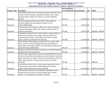## *San Jose et al. v. Ross et al.* **- Case No. 3:18-cv-02279-RS** Case 3:18-cv-02279-RS Document 181-1 Filed 01/25/19 Page 17 of 25

|                      |                                                                     | 18-cv-02279 Doc.     |                      |           |                   |
|----------------------|---------------------------------------------------------------------|----------------------|----------------------|-----------|-------------------|
| <b>Evidence Type</b> | <b>Description</b>                                                  | or Trial Exhibit No. | <b>Date Admitted</b> | <b>AR</b> | AR No.            |
|                      | Email between Sahra Park-Su and Jacque Mason, Mike Platt, Brian     |                      |                      |           |                   |
|                      | Lenihan, Israel Hernandez, copying Aaron Willard, Karen Kelley,     |                      |                      |           |                   |
|                      | Cameron Dorsey; subject: RE: Follow-up to today's Meeting           |                      |                      |           |                   |
| Stipulation          | (9/1/17)                                                            | <b>PTX 379</b>       | $1/4/2019$ AR        |           | 0001378 - 0001380 |
|                      | House Oversight and Government Reform Hearing QFRs to               |                      |                      |           |                   |
|                      | Secretary Wilbur Ross Hearing Date October 12, 2017                 |                      |                      |           |                   |
| Stipulation          | [COM DIS00014166]                                                   | <b>PTX 380</b>       | $1/4/2019$ AR        |           |                   |
|                      | Email between Earl Comstock to Wilbur Ross, Wendy Teramoto,         |                      |                      |           |                   |
|                      | copying Karen Kelley; subject: FW: Answers to Secretary Ross's      |                      |                      |           |                   |
| Stipulation          | Questions (10/29/17)                                                | <b>PTX 381</b>       | $1/4/2019$ AR        |           | 0002446 - 0002456 |
|                      | Email between Sahra Park-Su, Peter Davidson, copying Catherine      |                      |                      |           |                   |
|                      | Keller, James Uthmeier, Karen Kelley, Israel Hernandez, Earl        |                      |                      |           |                   |
|                      | Comstock, Brian Lenihan, Aaron Willard, Ron Jarmin, Enrique         |                      |                      |           |                   |
| Stipulation          | Lamas; subject: Re: Question from Secretary                         | <b>PTX 382</b>       | $1/4/2019$ AR        |           | 0003691 - 0003692 |
|                      | Email between David Langdon and Sahra Park-Su; subject: FWD:        |                      |                      |           |                   |
|                      | Alert: Commerce Secretary Suggested Citizenship Question to         |                      |                      |           |                   |
|                      | Justice Dept., According to Memo, Contradicting His Congressional   |                      |                      |           |                   |
| Stipulation          | (6/22/18) [COM DIS00013892]                                         | <b>PTX 383</b>       | $1/4/2019$ AR        |           |                   |
|                      | Questions on the Jan 19 Draft Census Memo on the DOJ Citizenship    |                      |                      |           |                   |
| Stipulation          | <b>Question Reinstatement Request</b>                               | <b>PTX 384</b>       | 1/4/2019 AR          |           | 0001616 - 0001626 |
|                      | Email between Jacque Mason, Alan Lang, copying Mike Platt, Brian    |                      |                      |           |                   |
|                      | Lenihan, Aaron Willard, Barry Robinson, James Uthmeier, Catherine   |                      |                      |           |                   |
|                      | Keller, Sahra Park-Su, subject: Here are the presentations from the |                      |                      |           |                   |
|                      | PMR - please get ones missing and the contract one to Ellen         |                      |                      |           |                   |
| Stipulation          | (1/31/18)                                                           | <b>PTX 385</b>       | $1/4/2019$ AR        |           | 0001964           |
|                      | Email between Sahra Park-Su, Christa Jones, copying Ron Jarmin,     |                      |                      |           |                   |
|                      | Enrique Lamas, Karen Kelley, Michael Walsh, Brian Lenihan,          |                      |                      |           |                   |
| Stipulation          | subject: Draft Response to Question (2/24/18)                       | <b>PTX 386</b>       | $1/4/2019$ AR        |           | 0013023 - 0013024 |
|                      | Email between Sahra Park-Su, [redacted], copying Ron Jarmin,        |                      |                      |           |                   |
|                      | Enrique Lamas, Christa Jones, Michael Walsh, Brian Lenihan;         |                      |                      |           |                   |
| Stipulation          | subject re: Draft Response to Question (2/24/18)                    | <b>PTX 387</b>       | $1/4/2019$ AR        |           | 0003403 - 0003404 |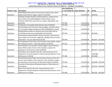## *San Jose et al. v. Ross et al.* **- Case No. 3:18-cv-02279-RS** Case 3:18-cv-02279-RS Document 181-1 Filed 01/25/19 Page 18 of 25

|                      |                                                                    | 18-cv-02279 Doc.                   |               |           |                   |
|----------------------|--------------------------------------------------------------------|------------------------------------|---------------|-----------|-------------------|
| <b>Evidence Type</b> | <b>Description</b>                                                 | or Trial Exhibit No. Date Admitted |               | <b>AR</b> | AR No.            |
|                      | Email between Ron Jarmin, Christ Jones, Enrique Lamas, Karen       |                                    |               |           |                   |
| Stipulation          | Kelley, Sahra Park-Su; subject: option D (2/23/18)                 | <b>PTX 388</b>                     | $1/4/2019$ AR |           | 0002935           |
|                      | Calendar Invitation between Chelsey Neuhaus, Joseph Semsar,        |                                    |               |           |                   |
|                      | Karen Kelley, ExecSecBriefingBook, Michael Walsh, James            |                                    |               |           |                   |
|                      | Uthmeier, Mike Platt, Sahra Park-Su; subject: Stakeholder Calls    |                                    |               |           |                   |
| Stipulation          | (3/23/18)                                                          | <b>PTX 389</b>                     | $1/4/2019$ AR |           | 0001638 - 0001639 |
| Stipulation          | Certification of Complete Administrative Record (6/8/18)           | <b>PTX 390</b>                     | $1/4/2019$ AR |           |                   |
|                      | Emails between Earl Comstock, David Langdon, and Ellen Herbst      |                                    |               |           |                   |
| Stipulation          | Re: Counting of Illegal Immigrants [COM_DIS00016563 revised]       | <b>PTX 397</b>                     | $1/4/2019$ AR |           |                   |
|                      | Briefing Memorandum for Secretary Ross from Mike Platt for         |                                    |               |           |                   |
| Stipulation          | 3.23.18 Decennial Census Stakeholder Call (3/22/18)                | <b>PTX 399</b>                     | $1/4/2019$ AR |           | 0012466           |
|                      | Email between Michael Walsh, Wendy Teramoto, James Rockas,         |                                    |               |           |                   |
|                      | Karen Kelley, Earl Comstock, subject Re: Updated with his further  |                                    |               |           |                   |
| Stipulation          | edits below - For your approval (3/16/18)                          | <b>PTX 400</b>                     | 1/4/2019 AR   |           | 0012467 - 0012469 |
|                      | Email between Christa Jones, Earl Comstock, Karen Kelley, subject: |                                    |               |           |                   |
| Stipulation          | Re: Seeking Comment - citizenship question (2/28/18)               | <b>PTX 401</b>                     | 1/4/2019 AR   |           | 0012470 - 0012475 |
|                      | Email between Earl Comstock, David Langdon, James Uthmeier,        |                                    |               |           |                   |
|                      | Aaron Willard, Sahra Park-Su, Peter Davidson, subject: Re:         |                                    |               |           |                   |
| Stipulation          | questions re: draft census memo (1/30/18)                          | <b>PTX 402</b>                     | $1/4/2019$ AR |           | 0012477 - 0012478 |
|                      | Draft Memo from Abowd to Ross RE: Technical Review of the          |                                    |               |           |                   |
|                      | Department of Justice Request to Add Citizenship Question to the   |                                    |               |           | 0012480 -         |
| Stipulation          | 2020 Census (1/19/18)                                              | <b>PTX 403</b>                     | 1/4/2019 AR   |           | 0012488           |
|                      | Email between Karen Kelley, Earl Comstock, Enrique Lamas, Ron      |                                    |               |           |                   |
|                      | Jarmin, Aaron Willard, James Uthmeier, Peter Davidson, subject:    |                                    |               |           |                   |
| Stipulation          | Re: Questions on the January 19 Alternatives Memo (1/30/18)        | <b>PTX 404</b>                     | $1/4/2019$ AR |           | 0012489 - 0012492 |
|                      | Summary of Alternatives & Detailed Analysis of Alternatives by     |                                    |               |           |                   |
| Stipulation          | John Abowd                                                         | <b>PTX 405</b>                     | $1/4/2019$ AR |           | 0012493 - 0012500 |
|                      | Memo from Abowd to Ross RE: Technical Review of the                |                                    |               |           |                   |
|                      | Department of Justice Request to Add Citizenship Question to the   |                                    |               |           |                   |
| Stipulation          | 2020 Census (1/19/18)                                              | <b>PTX 406</b>                     | 1/4/2019 AR   |           | 0012501 - 0012505 |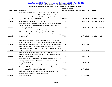## *San Jose et al. v. Ross et al.* **- Case No. 3:18-cv-02279-RS** Case 3:18-cv-02279-RS Document 181-1 Filed 01/25/19 Page 19 of 25

|                      |                                                                     | 18-cv-02279 Doc.                   |               |           |                   |
|----------------------|---------------------------------------------------------------------|------------------------------------|---------------|-----------|-------------------|
| <b>Evidence Type</b> | <b>Description</b>                                                  | or Trial Exhibit No. Date Admitted |               | <b>AR</b> | AR No.            |
|                      | Email between Karen Kelley, Sahra Park-Su, Aaron Willard, Ron       |                                    |               |           |                   |
|                      | Jarmin, Enrique Lamas, Jacque Mason, Mike Platt, Burton Reist,      |                                    |               |           |                   |
|                      | Joanne Crane, Israel Hernandez, Earl Comstock, Wendy Teramoto,      |                                    |               |           |                   |
| Stipulation          | subject: SWLR Questions (10/28/17)                                  | <b>PTX 407</b>                     | $1/4/2019$ AR |           | 0012506 - 0012507 |
| Stipulation          | Secretary HSGAC Hearing Q A (10/23/17)                              | <b>PTX 408</b>                     | 1/4/2019 AR   |           | 0012508 - 0012525 |
|                      | Email between Earl Comstock, Wilbur Ross, Wendy Teramoto, Eric      |                                    |               |           |                   |
|                      | Branstad, subject: FW: Census Testimony for Wed. May 3 House        |                                    |               |           |                   |
| Stipulation          | <b>CJS Hearing (5/1/17)</b>                                         | <b>PTX 409</b>                     | 1/4/2019 AR   |           | 0012526 - 0012528 |
|                      | Prepared Statement of John H. Thompson Director                     |                                    |               |           |                   |
|                      | U.S. Census Bureau Before the Appropriations Committee              |                                    |               |           |                   |
|                      | Subcomittee on Commerce, Justice, Science and Related Agencies,     |                                    |               |           |                   |
| Stipulation          | House (5/3/17)                                                      | <b>PTX 410</b>                     | 1/4/2019 AR   |           | 0012529 - 0012540 |
|                      |                                                                     |                                    |               |           |                   |
|                      | Email between Sahra Park-Su, Karen Kelley, Aaron Willard, Kevin     |                                    |               |           |                   |
|                      | Quinley, subject "Re: SHORT FUSE: Fw: Census / immigration status   |                                    |               |           |                   |
| Stipulation          | story (Deadline: Today 2:45 pm)" (12/29/17) [COM_DIS00015678]       | <b>PTX 411</b>                     | $1/4/2019$ AR |           |                   |
|                      | Email from John Zadrozny to James Uthmeier, subject "RE: Hill/DOJ   |                                    |               |           |                   |
|                      | pushing for citizenship question on census forms: report" (1/31/18) |                                    |               |           |                   |
| Stipulation          | [COM DIS00015698]                                                   | <b>PTX 412</b>                     | 1/4/2019 AR   |           |                   |
|                      | Email between James Uthmeier, John Zadrozny, subject: Re:           |                                    |               |           |                   |
|                      | Hill/DOJ pushing for citizenship question on census forms: report   |                                    |               |           |                   |
| Stipulation          | (12/31/17) [COM_DIS00015704]                                        | <b>PTX 413</b>                     | $1/4/2019$ AR |           |                   |
|                      | Email between John Zadrozny and [redacted] subject: Re: Hill/DOJ    |                                    |               |           |                   |
|                      | pushing for citizenship question on census forms: report (12/31/17) |                                    |               |           |                   |
| Stipulation          | [COM_DIS00015707]                                                   | <b>PTX 414</b>                     | $1/4/2019$ AR |           |                   |
|                      | Email between Peter Davidson and James Uthmeier, subject: Re:       |                                    |               |           |                   |
|                      | Short Fuse: FW: Census / immigration status story (Deadline: Today  |                                    |               |           |                   |
| Stipulation          | 2:45 pm) (12/31/17) [COM_DIS00015711]                               | <b>PTX 415</b>                     | $1/4/2019$ AR |           |                   |
|                      | Email between Karen Kelley, Israel Hernandez, Sahra Park-Su,        |                                    |               |           |                   |
|                      | subject: re: Census Matter Follow- Up (9/11/17)                     |                                    |               |           |                   |
| Stipulation          | [COM DIS00016564]                                                   | <b>PTX 416</b>                     | 1/4/2019 AR   |           |                   |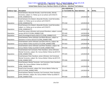## *San Jose et al. v. Ross et al.* **- Case No. 3:18-cv-02279-RS** Case 3:18-cv-02279-RS Document 181-1 Filed 01/25/19 Page 20 of 25

|                      |                                                                 | 18-cv-02279 Doc.                   |               |           |        |
|----------------------|-----------------------------------------------------------------|------------------------------------|---------------|-----------|--------|
| <b>Evidence Type</b> | <b>Description</b>                                              | or Trial Exhibit No. Date Admitted |               | <b>AR</b> | AR No. |
|                      | Email between Alexander Brooke, Israel Hernandez, Wendy         |                                    |               |           |        |
|                      | Teramoto, subject: re: Follow up on our phone call (7/24/17)    |                                    |               |           |        |
| Stipulation          | [COM DIS00016571]                                               | <b>PTX 417</b>                     | $1/4/2019$ AR |           |        |
|                      | Email between Kris Kobach, Alexander Brooke, Israel Hernandez,  |                                    |               |           |        |
|                      | subject: re: Follow up on our phone call (7/24/17)              |                                    |               |           |        |
| Stipulation          | [COM DIS00016575]                                               | <b>PTX 418</b>                     | $1/4/2019$ AR |           |        |
|                      | Email between Kris Kobach, Alexander Brooke, Israel Hernandez,  |                                    |               |           |        |
|                      | subject: re: Follow up on our phone call (7/24/17)              |                                    |               |           |        |
| Stipulation          | [COM_DIS00016577]                                               | <b>PTX 419</b>                     | 1/4/2019 AR   |           |        |
|                      | Email from James Uthmeier and Leonard Shambon, subject: current |                                    |               |           |        |
| Stipulation          | version (9/15/17) [COM_DIS00017126]                             | <b>PTX 420</b>                     | $1/4/2019$ AR |           |        |
| Stipulation          | Draft Chronological History (8/21/17) [COM_DIS00017127]         | <b>PTX 421</b>                     | 1/4/2019 AR   |           |        |
|                      | Email between James Uthmeier and Mark Neuman, subject re:       |                                    |               |           |        |
| Stipulation          | Questions re Census (9/13/17) [COM_DIS00017396]                 | <b>PTX 422</b>                     | $1/4/2019$ AR |           |        |
|                      | Email between James Uthmeier and Sahra Park-Su, subject: Re:    |                                    |               |           |        |
| Stipulation          | Census Matter Follow-Up (9/11/17) [COM_DIS00017398]             | <b>PTX 423</b>                     | $1/4/2019$ AR |           |        |
|                      | Email between James Uthmeier and Peter Davidson, subject: Re:   |                                    |               |           |        |
| Stipulation          | Census Matter Follow-Up (9/9/17) [COM_DIS00017402]              | <b>PTX 424</b>                     | $1/4/2019$ AR |           |        |
|                      | Email between Earl Comstock, Peter Davidson, James Uthmeier,    |                                    |               |           |        |
|                      | Wendy Teramoto, subject: Re: Census Matter Follow-Up (9/7/17)   |                                    |               |           |        |
| Stipulation          | [COM DIS00017405]                                               | <b>PTX 425</b>                     | $1/4/2019$ AR |           |        |
|                      | Email between Peter Davidson, James Uthmeier, Earl Comstock,    |                                    |               |           |        |
|                      | Wendy Teramoto, subject: Re: Census Matter Follow-Up (9/7/17)   |                                    |               |           |        |
| Stipulation          | [COM_DIS00017407]                                               | <b>PTX 426</b>                     | $1/4/2019$ AR |           |        |
|                      | Email between Wendy Teramoto, Earl Comstock, Peter Davidson,    |                                    |               |           |        |
|                      | subject: Re: Census Matter Follow-Up (9/8/17)                   |                                    |               |           |        |
| Stipulation          | [COM_DIS00017468]                                               | <b>PTX 427</b>                     | $1/4/2019$ AR |           |        |
|                      | Email to Earl Comstock, subject: Re: Census Matter Follow-Up    |                                    |               |           |        |
| Stipulation          | (9/7/17) [COM_DIS00017499]                                      | <b>PTX 428</b>                     | 1/4/2019 AR   |           |        |
|                      | Email between Wendy Teramoto, Earl Comstock, Peter Davidson,    |                                    |               |           |        |
|                      | James Uthmeier, subject: Re: Census Matter Follow-Up (9/8/17)   |                                    |               |           |        |
| Stipulation          | [COM DIS00017554]                                               | <b>PTX 429</b>                     | $1/4/2019$ AR |           |        |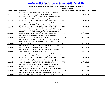## *San Jose et al. v. Ross et al.* **- Case No. 3:18-cv-02279-RS** Case 3:18-cv-02279-RS Document 181-1 Filed 01/25/19 Page 21 of 25

|                      |                                                                   | 18-cv-02279 Doc.                   |               |           |        |
|----------------------|-------------------------------------------------------------------|------------------------------------|---------------|-----------|--------|
| <b>Evidence Type</b> | <b>Description</b>                                                | or Trial Exhibit No. Date Admitted |               | <b>AR</b> | AR No. |
|                      | Email between James Uthmeier and Earl Comstock, subject: Re:      |                                    |               |           |        |
| Stipulation          | Census Matter Follow-Up (9/7/17) [COM DIS00017585]                | <b>PTX 430</b>                     | $1/4/2019$ AR |           |        |
|                      | Email between Macie Leach, Wendy Teramoto and Earl Comstock,      |                                    |               |           |        |
|                      | subject: FW: SHORT FUSE: Fw: Census / Immigration status story    |                                    |               |           |        |
| Stipulation          | (Deadline: Today 2:45 pm) (12/29/17) [COM DIS00018193]            | <b>PTX 431</b>                     | $1/4/2019$ AR |           |        |
|                      | Email between Macie Leach, Wendy Teramoto and Earl Comstock,      |                                    |               |           |        |
|                      | subject: FW: SHORT FUSE: Fw: Census / Immigration status story    |                                    |               |           |        |
| Stipulation          | (Deadline: Today 2:45 pm) (12/29/17) [COM DIS00018196]            | <b>PTX 432</b>                     | $1/4/2019$ AR |           |        |
|                      | Email between Macie Leach, Wendy Teramoto and Earl Comstock,      |                                    |               |           |        |
|                      | subject: FW: SHORT FUSE: Fw: Census / Immigration status story    |                                    |               |           |        |
| Stipulation          | (Deadline: Today 2:45 pm) (12/29/17) [COM_DIS00018200]            | <b>PTX 433</b>                     | $1/4/2019$ AR |           |        |
|                      | Email between Earl Comstock and Wendy Teramoto, subject: Fwd:     |                                    |               |           |        |
| Stipulation          | Calls with DOJ (9/19/17) [COM_DIS00018543]                        | <b>PTX 435</b>                     | $1/4/2019$ AR |           |        |
|                      | Email between Earl Comstock, Peter Davidson, James Uthmeier,      |                                    |               |           |        |
|                      | Wendy Teramoto, subject: Re: Census Matter Follow-Up (9/8/17)     |                                    |               |           |        |
| Stipulation          | [COM DIS00018546]                                                 | <b>PTX 436</b>                     | 1/4/2019 AR   |           |        |
|                      | Email between Earl Comstock and James Uthmeier, subject: Re:      |                                    |               |           |        |
| Stipulation          | Census paper (8/11/17) [COM_DIS00018588]                          | <b>PTX 437</b>                     | $1/4/2019$ AR |           |        |
|                      | Email between Earl Comstock and James Uthmeier, subject: Re:      |                                    |               |           |        |
| Stipulation          | Census paper (8/11/17) [COM_DIS00018592]                          | <b>PTX 438</b>                     | 1/4/2019 AR   |           |        |
|                      | Email between Macie Leach, Wendy Teramoto and Earl Comstock,      |                                    |               |           |        |
|                      | subject: FW: SHORT FUSE: Fw: Census / Immigration status story    |                                    |               |           |        |
| Stipulation          | (Deadline: Today 2:45 pm) (12/29/17) [COM_DIS00018772]            | <b>PTX 439</b>                     | $1/4/2019$ AR |           |        |
|                      | Email between Wendy Teramoto and Peter Davidson, subject: FW:     |                                    |               |           |        |
| Stipulation          | Census Matter Follow-Up (9/7/17) [COM_DIS00018873]                | <b>PTX 440</b>                     | $1/4/2019$ AR |           |        |
|                      | Email between Wendy Teramoto and Kris Kobach, subject: Re:        |                                    |               |           |        |
| Stipulation          | Follow up on our phone call (7/24/17) [COM_DIS00018875]           | <b>PTX 441</b>                     | 1/4/2019 AR   |           |        |
|                      | Email between Karen Kelley, Israel Hernandez, subject: Re: Census |                                    |               |           |        |
| Stipulation          | Matter Follow-Up (9/11/17) [COM_DIS00019464]                      | <b>PTX 442</b>                     | 1/4/2019 AR   |           |        |
|                      | Email between James Uthmeier and [Sahra Park-Su], subject: Re:    |                                    |               |           |        |
| Stipulation          | Census Matter Follow-Up (9/11/17) [COM_DIS00019468]               | <b>PTX 443</b>                     | 1/4/2019 AR   |           |        |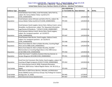## *San Jose et al. v. Ross et al.* **- Case No. 3:18-cv-02279-RS** Case 3:18-cv-02279-RS Document 181-1 Filed 01/25/19 Page 22 of 25

|                      |                                                                     | 18-cv-02279 Doc.                   |               |           |        |
|----------------------|---------------------------------------------------------------------|------------------------------------|---------------|-----------|--------|
| <b>Evidence Type</b> | <b>Description</b>                                                  | or Trial Exhibit No. Date Admitted |               | <b>AR</b> | AR No. |
|                      | Email between Karen Kelley, Israel Hernandez, Sahra Park-Su,        |                                    |               |           |        |
|                      | subject: Re: Census Matter Follow- Up (9/11/17)                     |                                    |               |           |        |
| Stipulation          | [COM DIS00019687]                                                   | <b>PTX 444</b>                     | 1/4/2019 AR   |           |        |
|                      | Email between James Uthmeier and Sahra Park-Su, subject: Re:        |                                    |               |           |        |
| Stipulation          | Census Matter Follow-Up (9/11/17) [COM_DIS00019691]                 | <b>PTX 445</b>                     | $1/4/2019$ AR |           |        |
|                      |                                                                     |                                    |               |           |        |
|                      | Email between David Langdon, Burton Reist, Melissa Creech, James    |                                    |               |           |        |
|                      | Dinwiddie, Lisa Blumerman, subject "Re: Requested Information -     |                                    |               |           |        |
| Stipulation          | Legal Review All Residents" (5/24/17) [COM_DIS00019987]             | <b>PTX 446</b>                     | $1/4/2019$ AR |           |        |
|                      | Email between Melissa Creech, Burton Reist, David Langdon,          |                                    |               |           |        |
|                      | subject: Re: immigrant question - pt 2 (5/24/17)                    |                                    |               |           |        |
| Stipulation          | [COM DIS00020024]                                                   | <b>PTX 447</b>                     | 1/4/2019 AR   |           |        |
|                      | Email between Reist Burton, David Langdon, Melissa Creech,          |                                    |               |           |        |
|                      | subject: Fw: immigrant questions - pt 2 (5/24/17)                   |                                    |               |           |        |
| Stipulation          | [COM_DIS00020028]                                                   | <b>PTX 448</b>                     | 1/4/2019 AR   |           |        |
|                      | Memo from Robert B. Ellert to Robert Brumley, Counting Illegal      |                                    |               |           |        |
| Stipulation          | Aliens (4/15/1988) [COM_DIS00020031]                                | <b>PTX 449</b>                     | $1/4/2019$ AR |           |        |
|                      | Memo from Robert B. Ellert to Robert Brumley, DoJ/OLP               |                                    |               |           |        |
|                      | Memorandum on Counting Illegal Aliens in the 1990 Census            |                                    |               |           |        |
| Stipulation          | (4/18/1988) [COM_DIS00020058]                                       | <b>PTX 450</b>                     | 1/4/2019 AR   |           |        |
|                      | Letter from Carol T. Crawford, Assistant Attorney General, to       |                                    |               |           |        |
| Stipulation          | Senator Bingaman (9/22/89) [COM_DIS00020062]                        | <b>PTX 451</b>                     | $1/4/2019$ AR |           |        |
|                      | Email from Earl Comstock, Ellen Herbst, David Langdon, subject: RE: |                                    |               |           |        |
| Stipulation          | Counting of illegal immigrants (5/24/17) [COM_DIS00020864]          | <b>PTX 452</b>                     | 1/4/2019 AR   |           |        |
|                      | U.S. Census Bureau (June 8, 2018), Proposed Information             |                                    |               |           |        |
|                      | Collection, 2020 Census. Federal Register Notice. Vol. 83 (111), p. |                                    |               |           |        |
| <b>Trial Exhibit</b> | 26649.                                                              | <b>PTX 459</b>                     | 1/7/2019      |           |        |
|                      | Slide Deck on 2020 Census Barriers, Attitudes, and Motivators       |                                    |               |           |        |
|                      | Study (CBAMS) Survey and Focus Groups: Key Findings for Creative    |                                    |               |           |        |
| <b>Trial Exhibit</b> | Strategy (Oct. 31, 2018)                                            | <b>PTX 465</b>                     | 1/7/2019      |           |        |
| Trial Exhibit        | 2010 Decennial Census Questionnaire                                 | <b>PTX 467</b>                     | 1/7/2019      |           |        |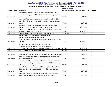## *San Jose et al. v. Ross et al.* **- Case No. 3:18-cv-02279-RS** Case 3:18-cv-02279-RS Document 181-1 Filed 01/25/19 Page 23 of 25

|                      |                                                                            | 18-cv-02279 Doc.     |               |           |        |
|----------------------|----------------------------------------------------------------------------|----------------------|---------------|-----------|--------|
| <b>Evidence Type</b> | <b>Description</b>                                                         | or Trial Exhibit No. | Date Admitted | <b>AR</b> | AR No. |
|                      | Table titled "Estimated net undercount after imputation in 2020            |                      |               |           |        |
|                      | with citizenship question (Q1 to Q2)" from Barreto supplemental            |                      |               |           |        |
| <b>Trial Exhibit</b> | report                                                                     | <b>PTX 468</b>       | 1/9/2019      |           |        |
|                      | Table titled "Estimated net undercount after imputation in 2020            |                      |               |           |        |
|                      | with citizenship question (Q1 to Q8)" from Barreto supplemental            |                      |               |           |        |
| <b>Trial Exhibit</b> | report                                                                     | <b>PTX 469</b>       | 1/9/2019      |           |        |
|                      | Statement from Commerce Department spokesperson Kevin                      |                      |               |           |        |
| <b>Trial Exhibit</b> | Manning regarding Dr. Abowd's trial testimony, Nov. 13, 2018               | <b>PTX 470</b>       | 1/14/2019     |           |        |
|                      | Video Excerpt, Yahoo Finance Interview of Secretary Ross regarding         |                      |               |           |        |
| <b>Trial Exhibit</b> | citizenship question, Nov. 13, 2018                                        | <b>PTX 472</b>       | 1/14/2019     |           |        |
| <b>Trial Exhibit</b> | Appendix A - Auxiliary Tables of Results [Barreto Report]                  | <b>PTX 499-A</b>     | 1/9/2019      |           |        |
|                      | U.S. Census Bureau, Congressional Apportionment,                           |                      |               |           |        |
|                      | Computing Apportionment, available at:                                     |                      |               |           |        |
|                      | https://www.census.gov/population/apportionment/about/compu                |                      |               |           |        |
| <b>Trial Exhibit</b> | ting.html                                                                  | <b>PTX 541</b>       | 1/10/2019     |           |        |
|                      | U.S. Census Bureau, Population and Housing Unit                            |                      |               |           |        |
|                      | Estimates, Frequently Asked Questions, available at:                       |                      |               |           |        |
| Trial Exhibit        | http://www.census.gov/programssurveys/popest/about/faq.html                | <b>PTX 583</b>       | 1/10/2019     |           |        |
| <b>Trial Exhibit</b> | Census 2020 Survey Questionnaire / Script                                  | <b>PTX 824</b>       | 1/9/2019      |           |        |
|                      |                                                                            |                      |               |           |        |
| <b>Trial Exhibit</b> | Table 13B: Non-Response Rate for City of San Jose [Barreto Report] PTX 863 |                      | 1/9/2019      |           |        |
|                      | Table 16B: Estimated number of non-respondents in City of San              |                      |               |           |        |
| <b>Trial Exhibit</b> | Jose [Barreto Report]                                                      | <b>PTX 864</b>       | 1/9/2019      |           |        |
|                      | Table 19B: Trust the Trump administration to protect your personal         |                      |               |           |        |
|                      | information, including citizenship status of the 2020 Census - City        |                      |               |           |        |
| <b>Trial Exhibit</b> | of San Jose [Barreto Report]                                               | <b>PTX 865</b>       | 1/9/2019      |           |        |
|                      | Table 20: Degree of Concern about Citizenship Being Shared with            |                      |               |           |        |
|                      | ICE among Non-responders (Q1-Q2) - City of San Jose [Barreto               |                      |               |           |        |
| <b>Trial Exhibit</b> | Report]                                                                    | <b>PTX 866</b>       | 1/9/2019      |           |        |
|                      | Appendix A - Table 1: Latinos and Immigrants are Less Likely to            |                      |               |           |        |
| <b>Trial Exhibit</b> | Trust Trump to Protect Their Information [Barreto Report]                  | <b>PTX 867</b>       | 1/9/2019      |           |        |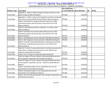## *San Jose et al. v. Ross et al.* **- Case No. 3:18-cv-02279-RS** Case 3:18-cv-02279-RS Document 181-1 Filed 01/25/19 Page 24 of 25

|                      |                                                                   | 18-cv-02279 Doc.                   |          |           |        |
|----------------------|-------------------------------------------------------------------|------------------------------------|----------|-----------|--------|
| <b>Evidence Type</b> | <b>Description</b>                                                | or Trial Exhibit No. Date Admitted |          | <b>AR</b> | AR No. |
|                      | Appendix A - Table 14: Black Immigrants Behave Similarly as Non-  |                                    |          |           |        |
| <b>Trial Exhibit</b> | <b>Black Immigrants [Barreto Report]</b>                          | <b>PTX 868</b>                     | 1/9/2019 |           |        |
|                      | Appendix A - Table 2: Latinos and Immigrants Are More Concerned   |                                    |          |           |        |
| <b>Trial Exhibit</b> | That Census Answers Will Be Shared With ICE [Barreto Report]      | <b>PTX 869</b>                     | 1/9/2019 |           |        |
|                      | Table 3: Estimated non-response (drop off) rate due to 2020       |                                    |          |           |        |
|                      | Citizenship question Results by Race, drop off from Q1 to Q2      |                                    |          |           |        |
| <b>Trial Exhibit</b> | [Barreto Report]                                                  | <b>PTX 870</b>                     | 1/9/2019 |           |        |
|                      | Table 13: Non-Response Rate for California vs. all other states   |                                    |          |           |        |
| <b>Trial Exhibit</b> | [Barreto Report]                                                  | <b>PTX 871</b>                     | 1/9/2019 |           |        |
|                      | Table 4: Estimated non-response (drop-off) rate due to 2020       |                                    |          |           |        |
|                      | Citizenship question Results by Race, drop off from Q1 to Q8      |                                    |          |           |        |
| <b>Trial Exhibit</b> | [Barreto Report]                                                  | <b>PTX 872</b>                     | 1/9/2019 |           |        |
| <b>Trial Exhibit</b> | Chart 1: Non-Response rate by state (Q1 to Q2) [Barreto Report]   | <b>PTX 873</b>                     | 1/9/2019 |           |        |
| <b>Trial Exhibit</b> | Chart 2: Non-Response rate by state (Q1 to Q8) [Barreto Report]   | <b>PTX 874</b>                     | 1/9/2019 |           |        |
|                      | Table 8: Trust the Trump administration to protect your personal  |                                    |          |           |        |
|                      | information, including citizenship status on the 2020 Census      |                                    |          |           |        |
| <b>Trial Exhibit</b> | [Barreto Report]                                                  | <b>PTX 875</b>                     | 1/9/2019 |           |        |
|                      | Table 19: Trust the Trump administration to protect your personal |                                    |          |           |        |
|                      | information, including citizenship status on the 2020 Census -    |                                    |          |           |        |
| <b>Trial Exhibit</b> | California sample [Barreto Report]                                | <b>PTX 876</b>                     | 1/9/2019 |           |        |
| Trial Exhibit        | Table 9: Trust among non-responders [Barreto Report]              | <b>PTX 877</b>                     | 1/9/2019 |           |        |
|                      | Table 10: Degree of Concern about Citizenship Being Shared with   |                                    |          |           |        |
| <b>Trial Exhibit</b> | ICE among Non-responders (Q1-Q2) [Barreto Report]                 | <b>PTX 878</b>                     | 1/9/2019 |           |        |
|                      | Table 20: Degree of Concern about Citizenship Being Shared with   |                                    |          |           |        |
|                      | ICE among Non-responders (Q1-Q2) - California sample [Barreto     |                                    |          |           |        |
| <b>Trial Exhibit</b> | Report]                                                           | <b>PTX 879</b>                     | 1/9/2019 |           |        |
|                      | Table 5: Estimated number of non-respondents by race and          |                                    |          |           |        |
| <b>Trial Exhibit</b> | household size Q1-Q2 [Barreto Report]                             | <b>PTX 880</b>                     | 1/9/2019 |           |        |
|                      | Table 6: Estimated number of non-respondents by race and          |                                    |          |           |        |
| Trial Exhibit        | household size Q1-Q8 [Barreto Report]                             | <b>PTX 881</b>                     | 1/9/2019 |           |        |
|                      | Table 7: Percent of Non-Responders Who Change to Responders at    |                                    |          |           |        |
| <b>Trial Exhibit</b> | Q7/Q8 [Barreto Report]                                            | <b>PTX 882</b>                     | 1/9/2019 |           |        |